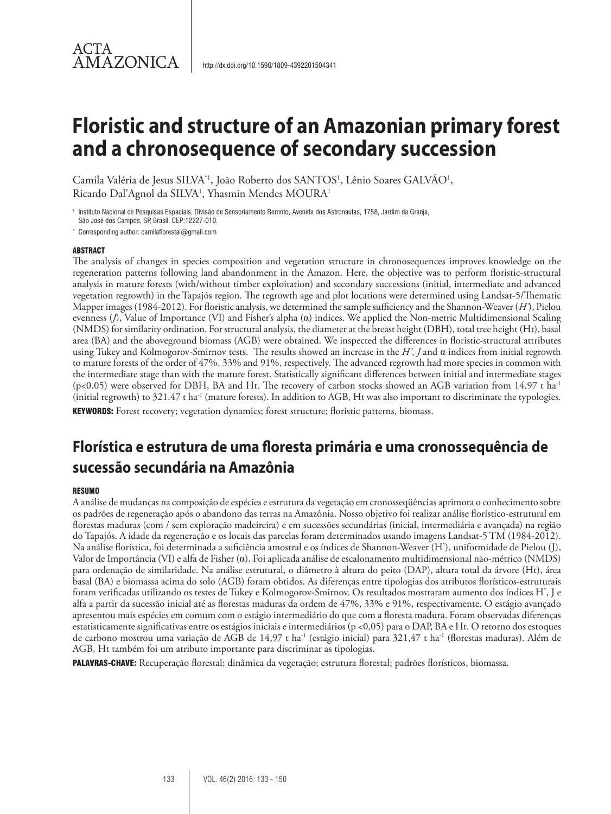# ACTA AMAZONICA

# **Floristic and structure of an Amazonian primary forest and a chronosequence of secondary succession**

Camila Valéria de Jesus SILVA\*1, João Roberto dos SANTOS<sup>1</sup>, Lênio Soares GALVÃO<sup>1</sup>, Ricardo Dal'Agnol da SILVA1 , Yhasmin Mendes MOURA1

<sup>1</sup> Instituto Nacional de Pesquisas Espaciais, Divisão de Sensoriamento Remoto, Avenida dos Astronautas, 1758, Jardim da Granja,

São José dos Campos, SP, Brasil. CEP:12227-010.

\* Corresponding author: camilaflorestal@gmail.com

#### ABSTRACT

The analysis of changes in species composition and vegetation structure in chronosequences improves knowledge on the regeneration patterns following land abandonment in the Amazon. Here, the objective was to perform floristic-structural analysis in mature forests (with/without timber exploitation) and secondary successions (initial, intermediate and advanced vegetation regrowth) in the Tapajós region. The regrowth age and plot locations were determined using Landsat-5/Thematic Mapper images (1984-2012). For floristic analysis, we determined the sample sufficiency and the Shannon-Weaver (*H'*), Pielou evenness (*J*), Value of Importance (VI) and Fisher's alpha (α) indices. We applied the Non-metric Multidimensional Scaling (NMDS) for similarity ordination. For structural analysis, the diameter at the breast height (DBH), total tree height (Ht), basal area (BA) and the aboveground biomass (AGB) were obtained. We inspected the differences in floristic-structural attributes using Tukey and Kolmogorov-Smirnov tests. The results showed an increase in the *H'*, *J* and α indices from initial regrowth to mature forests of the order of 47%, 33% and 91%, respectively. The advanced regrowth had more species in common with the intermediate stage than with the mature forest. Statistically significant differences between initial and intermediate stages (p<0.05) were observed for DBH, BA and Ht. The recovery of carbon stocks showed an AGB variation from 14.97 t ha<sup>-1</sup> (initial regrowth) to 321.47 t ha-1 (mature forests). In addition to AGB, Ht was also important to discriminate the typologies. KEYWORDS: Forest recovery; vegetation dynamics; forest structure; floristic patterns, biomass.

# **Florística e estrutura de uma floresta primária e uma cronossequência de sucessão secundária na Amazônia**

#### RESUMO

A análise de mudanças na composição de espécies e estrutura da vegetação em cronosseqüências aprimora o conhecimento sobre os padrões de regeneração após o abandono das terras na Amazônia. Nosso objetivo foi realizar análise florístico-estrutural em florestas maduras (com / sem exploração madeireira) e em sucessões secundárias (inicial, intermediária e avançada) na região do Tapajós. A idade da regeneração e os locais das parcelas foram determinados usando imagens Landsat-5 TM (1984-2012). Na análise florística, foi determinada a suficiência amostral e os índices de Shannon-Weaver (H'), uniformidade de Pielou (J), Valor de Importância (VI) e alfa de Fisher (α). Foi aplicada análise de escalonamento multidimensional não-métrico (NMDS) para ordenação de similaridade. Na análise estrutural, o diâmetro à altura do peito (DAP), altura total da árvore (Ht), área basal (BA) e biomassa acima do solo (AGB) foram obtidos. As diferenças entre tipologias dos atributos florísticos-estruturais foram verificadas utilizando os testes de Tukey e Kolmogorov-Smirnov. Os resultados mostraram aumento dos índices H', J e alfa a partir da sucessão inicial até as florestas maduras da ordem de 47%, 33% e 91%, respectivamente. O estágio avançado apresentou mais espécies em comum com o estágio intermediário do que com a floresta madura. Foram observadas diferenças estatisticamente significativas entre os estágios iniciais e intermediários (p <0,05) para o DAP, BA e Ht. O retorno dos estoques de carbono mostrou uma variação de AGB de 14,97 t ha<sup>-1</sup> (estágio inicial) para 321,47 t ha<sup>-1</sup> (florestas maduras). Além de AGB, Ht também foi um atributo importante para discriminar as tipologias.

PALAVRAS-CHAVE: Recuperação florestal; dinâmica da vegetação; estrutura florestal; padrões florísticos, biomassa.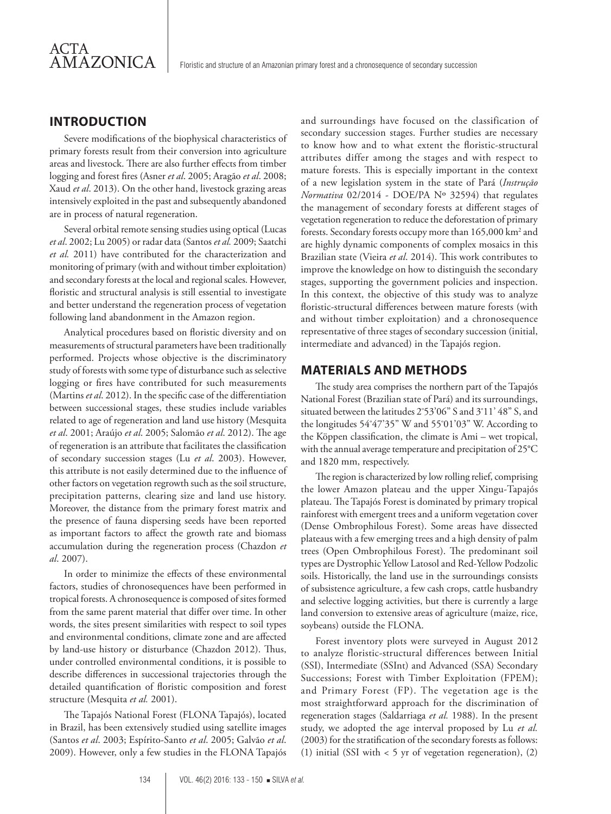# **INTRODUCTION**

Severe modifications of the biophysical characteristics of primary forests result from their conversion into agriculture areas and livestock. There are also further effects from timber logging and forest fires (Asner *et al*. 2005; Aragão *et al*. 2008; Xaud *et al*. 2013). On the other hand, livestock grazing areas intensively exploited in the past and subsequently abandoned are in process of natural regeneration.

Several orbital remote sensing studies using optical (Lucas *et al*. 2002; Lu 2005) or radar data (Santos *et al.* 2009; Saatchi *et al.* 2011) have contributed for the characterization and monitoring of primary (with and without timber exploitation) and secondary forests at the local and regional scales. However, floristic and structural analysis is still essential to investigate and better understand the regeneration process of vegetation following land abandonment in the Amazon region.

Analytical procedures based on floristic diversity and on measurements of structural parameters have been traditionally performed. Projects whose objective is the discriminatory study of forests with some type of disturbance such as selective logging or fires have contributed for such measurements (Martins *et al*. 2012). In the specific case of the differentiation between successional stages, these studies include variables related to age of regeneration and land use history (Mesquita *et al*. 2001; Araújo *et al*. 2005; Salomão *et al*. 2012). The age of regeneration is an attribute that facilitates the classification of secondary succession stages (Lu *et al*. 2003). However, this attribute is not easily determined due to the influence of other factors on vegetation regrowth such as the soil structure, precipitation patterns, clearing size and land use history. Moreover, the distance from the primary forest matrix and the presence of fauna dispersing seeds have been reported as important factors to affect the growth rate and biomass accumulation during the regeneration process (Chazdon *et al*. 2007).

In order to minimize the effects of these environmental factors, studies of chronosequences have been performed in tropical forests. A chronosequence is composed of sites formed from the same parent material that differ over time. In other words, the sites present similarities with respect to soil types and environmental conditions, climate zone and are affected by land-use history or disturbance (Chazdon 2012). Thus, under controlled environmental conditions, it is possible to describe differences in successional trajectories through the detailed quantification of floristic composition and forest structure (Mesquita *et al.* 2001).

The Tapajós National Forest (FLONA Tapajós), located in Brazil, has been extensively studied using satellite images (Santos *et al*. 2003; Espírito-Santo *et al*. 2005; Galvão *et al*. 2009). However, only a few studies in the FLONA Tapajós and surroundings have focused on the classification of secondary succession stages. Further studies are necessary to know how and to what extent the floristic-structural attributes differ among the stages and with respect to mature forests. This is especially important in the context of a new legislation system in the state of Pará (*Instrução Normativa* 02/2014 - DOE/PA Nº 32594) that regulates the management of secondary forests at different stages of vegetation regeneration to reduce the deforestation of primary forests. Secondary forests occupy more than 165,000 km<sup>2</sup> and are highly dynamic components of complex mosaics in this Brazilian state (Vieira *et al*. 2014). This work contributes to improve the knowledge on how to distinguish the secondary stages, supporting the government policies and inspection. In this context, the objective of this study was to analyze floristic-structural differences between mature forests (with and without timber exploitation) and a chronosequence representative of three stages of secondary succession (initial, intermediate and advanced) in the Tapajós region.

#### **MATERIALS AND METHODS**

The study area comprises the northern part of the Tapajós National Forest (Brazilian state of Pará) and its surroundings, situated between the latitudes 2º 53'06" S and 3º 11' 48" S, and the longitudes 54º 47'35" W and 55º 01'03" W. According to the Köppen classification, the climate is Ami – wet tropical, with the annual average temperature and precipitation of 25°C and 1820 mm, respectively.

The region is characterized by low rolling relief, comprising the lower Amazon plateau and the upper Xingu-Tapajós plateau. The Tapajós Forest is dominated by primary tropical rainforest with emergent trees and a uniform vegetation cover (Dense Ombrophilous Forest). Some areas have dissected plateaus with a few emerging trees and a high density of palm trees (Open Ombrophilous Forest). The predominant soil types are Dystrophic Yellow Latosol and Red-Yellow Podzolic soils. Historically, the land use in the surroundings consists of subsistence agriculture, a few cash crops, cattle husbandry and selective logging activities, but there is currently a large land conversion to extensive areas of agriculture (maize, rice, soybeans) outside the FLONA.

Forest inventory plots were surveyed in August 2012 to analyze floristic-structural differences between Initial (SSI), Intermediate (SSInt) and Advanced (SSA) Secondary Successions; Forest with Timber Exploitation (FPEM); and Primary Forest (FP). The vegetation age is the most straightforward approach for the discrimination of regeneration stages (Saldarriaga *et al.* 1988). In the present study, we adopted the age interval proposed by Lu *et al.* (2003) for the stratification of the secondary forests as follows: (1) initial (SSI with < 5 yr of vegetation regeneration), (2)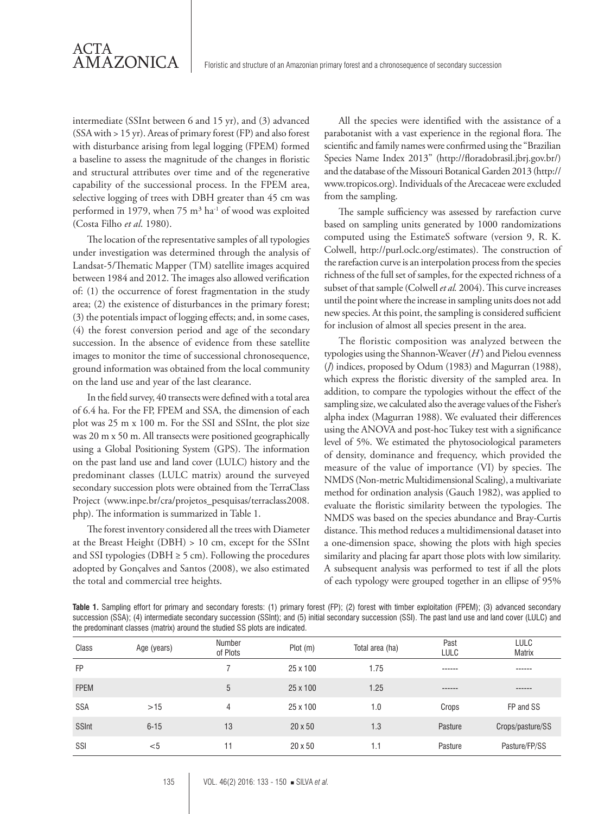intermediate (SSInt between 6 and 15 yr), and (3) advanced (SSA with > 15 yr). Areas of primary forest (FP) and also forest with disturbance arising from legal logging (FPEM) formed a baseline to assess the magnitude of the changes in floristic and structural attributes over time and of the regenerative capability of the successional process. In the FPEM area, selective logging of trees with DBH greater than 45 cm was performed in 1979, when 75  $\mathrm{m}^3$  ha<sup>-1</sup> of wood was exploited (Costa Filho *et al*. 1980).

ACTA

AMAZONICA

The location of the representative samples of all typologies under investigation was determined through the analysis of Landsat-5/Thematic Mapper (TM) satellite images acquired between 1984 and 2012. The images also allowed verification of: (1) the occurrence of forest fragmentation in the study area; (2) the existence of disturbances in the primary forest; (3) the potentials impact of logging effects; and, in some cases, (4) the forest conversion period and age of the secondary succession. In the absence of evidence from these satellite images to monitor the time of successional chronosequence, ground information was obtained from the local community on the land use and year of the last clearance.

In the field survey, 40 transects were defined with a total area of 6.4 ha. For the FP, FPEM and SSA, the dimension of each plot was 25 m x 100 m. For the SSI and SSInt, the plot size was 20 m x 50 m. All transects were positioned geographically using a Global Positioning System (GPS). The information on the past land use and land cover (LULC) history and the predominant classes (LULC matrix) around the surveyed secondary succession plots were obtained from the TerraClass Project (www.inpe.br/cra/projetos\_pesquisas/terraclass2008. php). The information is summarized in Table 1.

The forest inventory considered all the trees with Diameter at the Breast Height (DBH) > 10 cm, except for the SSInt and SSI typologies (DBH  $\geq$  5 cm). Following the procedures adopted by Gonçalves and Santos (2008), we also estimated the total and commercial tree heights.

All the species were identified with the assistance of a parabotanist with a vast experience in the regional flora. The scientific and family names were confirmed using the "Brazilian Species Name Index 2013" (http://floradobrasil.jbrj.gov.br/) and the database of the Missouri Botanical Garden 2013 (http:// www.tropicos.org). Individuals of the Arecaceae were excluded from the sampling.

The sample sufficiency was assessed by rarefaction curve based on sampling units generated by 1000 randomizations computed using the EstimateS software (version 9, R. K. Colwell, http://purl.oclc.org/estimates). The construction of the rarefaction curve is an interpolation process from the species richness of the full set of samples, for the expected richness of a subset of that sample (Colwell *et al.* 2004). This curve increases until the point where the increase in sampling units does not add new species. At this point, the sampling is considered sufficient for inclusion of almost all species present in the area.

The floristic composition was analyzed between the typologies using the Shannon-Weaver (*H'*) and Pielou evenness (*J*) indices, proposed by Odum (1983) and Magurran (1988), which express the floristic diversity of the sampled area. In addition, to compare the typologies without the effect of the sampling size, we calculated also the average values of the Fisher's alpha index (Magurran 1988). We evaluated their differences using the ANOVA and post-hoc Tukey test with a significance level of 5%. We estimated the phytosociological parameters of density, dominance and frequency, which provided the measure of the value of importance (VI) by species. The NMDS (Non-metric Multidimensional Scaling), a multivariate method for ordination analysis (Gauch 1982), was applied to evaluate the floristic similarity between the typologies. The NMDS was based on the species abundance and Bray-Curtis distance. This method reduces a multidimensional dataset into a one-dimension space, showing the plots with high species similarity and placing far apart those plots with low similarity. A subsequent analysis was performed to test if all the plots of each typology were grouped together in an ellipse of 95%

**Table 1.** Sampling effort for primary and secondary forests: (1) primary forest (FP); (2) forest with timber exploitation (FPEM); (3) advanced secondary succession (SSA); (4) intermediate secondary succession (SSInt); and (5) initial secondary succession (SSI). The past land use and land cover (LULC) and the predominant classes (matrix) around the studied SS plots are indicated.

| Class       | Age (years) | Number<br>of Plots | Plot(m)        | Total area (ha) | Past<br><b>LULC</b> | <b>LULC</b><br>Matrix |
|-------------|-------------|--------------------|----------------|-----------------|---------------------|-----------------------|
| FP          |             |                    | 25 x 100       | 1.75            | ------              | ------                |
| <b>FPEM</b> |             | $5\phantom{.0}$    | 25 x 100       | 1.25            | ------              | ------                |
| <b>SSA</b>  | >15         | 4                  | 25 x 100       | 1.0             | Crops               | FP and SS             |
| SSInt       | $6 - 15$    | 13                 | $20 \times 50$ | 1.3             | Pasture             | Crops/pasture/SS      |
| SSI         | $<$ 5       | 11                 | $20 \times 50$ | 1.1             | Pasture             | Pasture/FP/SS         |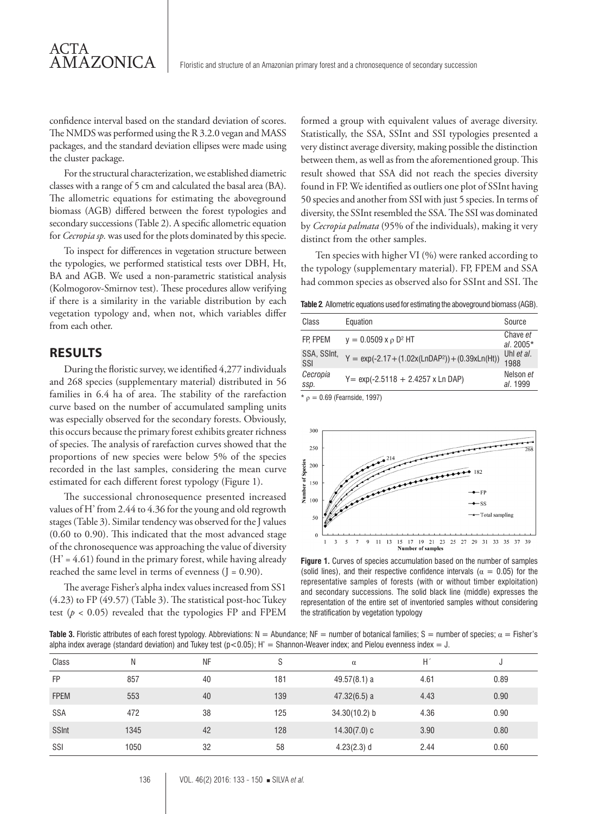confidence interval based on the standard deviation of scores. The NMDS was performed using the R 3.2.0 vegan and MASS packages, and the standard deviation ellipses were made using the cluster package.

For the structural characterization, we established diametric classes with a range of 5 cm and calculated the basal area (BA). The allometric equations for estimating the aboveground biomass (AGB) differed between the forest typologies and secondary successions (Table 2). A specific allometric equation for *Cecropia sp.* was used for the plots dominated by this specie.

To inspect for differences in vegetation structure between the typologies, we performed statistical tests over DBH, Ht, BA and AGB. We used a non-parametric statistical analysis (Kolmogorov-Smirnov test). These procedures allow verifying if there is a similarity in the variable distribution by each vegetation typology and, when not, which variables differ from each other.

#### **RESULTS**

ACTA

AMAZONICA

During the floristic survey, we identified 4,277 individuals and 268 species (supplementary material) distributed in 56 families in 6.4 ha of area. The stability of the rarefaction curve based on the number of accumulated sampling units was especially observed for the secondary forests. Obviously, this occurs because the primary forest exhibits greater richness of species. The analysis of rarefaction curves showed that the proportions of new species were below 5% of the species recorded in the last samples, considering the mean curve estimated for each different forest typology (Figure 1).

The successional chronosequence presented increased values of H' from 2.44 to 4.36 for the young and old regrowth stages (Table 3). Similar tendency was observed for the J values (0.60 to 0.90). This indicated that the most advanced stage of the chronosequence was approaching the value of diversity  $(H' = 4.61)$  found in the primary forest, while having already reached the same level in terms of evenness  $($ ] = 0.90 $)$ .

The average Fisher's alpha index values increased from SS1 (4.23) to FP (49.57) (Table 3). The statistical post-hoc Tukey test  $(p < 0.05)$  revealed that the typologies FP and FPEM formed a group with equivalent values of average diversity. Statistically, the SSA, SSInt and SSI typologies presented a very distinct average diversity, making possible the distinction between them, as well as from the aforementioned group. This result showed that SSA did not reach the species diversity found in FP. We identified as outliers one plot of SSInt having 50 species and another from SSI with just 5 species. In terms of diversity, the SSInt resembled the SSA. The SSI was dominated by *Cecropia palmata* (95% of the individuals), making it very distinct from the other samples.

Ten species with higher VI (%) were ranked according to the typology (supplementary material). FP, FPEM and SSA had common species as observed also for SSInt and SSI. The

**Table 2***.* Allometric equations used for estimating the aboveground biomass (AGB).

| Class              | Equation                                          | Source                  |
|--------------------|---------------------------------------------------|-------------------------|
| FP. FPEM           | $y = 0.0509 \times p D^2 HT$                      | Chave et<br>al. $2005*$ |
| SSA, SSInt,<br>SSI | $Y = exp(-2.17 + (1.02x(LnDAP2)) + (0.39xLn(Ht))$ | Uhl et al.<br>1988      |
| Cecropia<br>SSD.   | $Y = exp(-2.5118 + 2.4257 x \ln DAP)$             | Nelson et<br>al. 1999   |
|                    |                                                   |                         |

 $*$  ρ = 0.69 (Fearnside, 1997)



**Figure 1.** Curves of species accumulation based on the number of samples (solid lines), and their respective confidence intervals ( $\alpha = 0.05$ ) for the representative samples of forests (with or without timber exploitation) and secondary successions. The solid black line (middle) expresses the representation of the entire set of inventoried samples without considering the stratification by vegetation typology

**Table 3.** Floristic attributes of each forest typology. Abbreviations: N = Abundance; NF = number of botanical families; S = number of species;  $\alpha$  = Fisher's alpha index average (standard deviation) and Tukey test ( $p < 0.05$ ); H' = Shannon-Weaver index; and Pielou evenness index = J.

| Class       | Ν    | ΝF | S   | $\alpha$        | H    |      |
|-------------|------|----|-----|-----------------|------|------|
| <b>FP</b>   | 857  | 40 | 181 | 49.57(8.1) a    | 4.61 | 0.89 |
| <b>FPEM</b> | 553  | 40 | 139 | $47.32(6.5)$ a  | 4.43 | 0.90 |
| <b>SSA</b>  | 472  | 38 | 125 | $34.30(10.2)$ b | 4.36 | 0.90 |
| SSInt       | 1345 | 42 | 128 | $14.30(7.0)$ c  | 3.90 | 0.80 |
| SSI         | 1050 | 32 | 58  | $4.23(2.3)$ d   | 2.44 | 0.60 |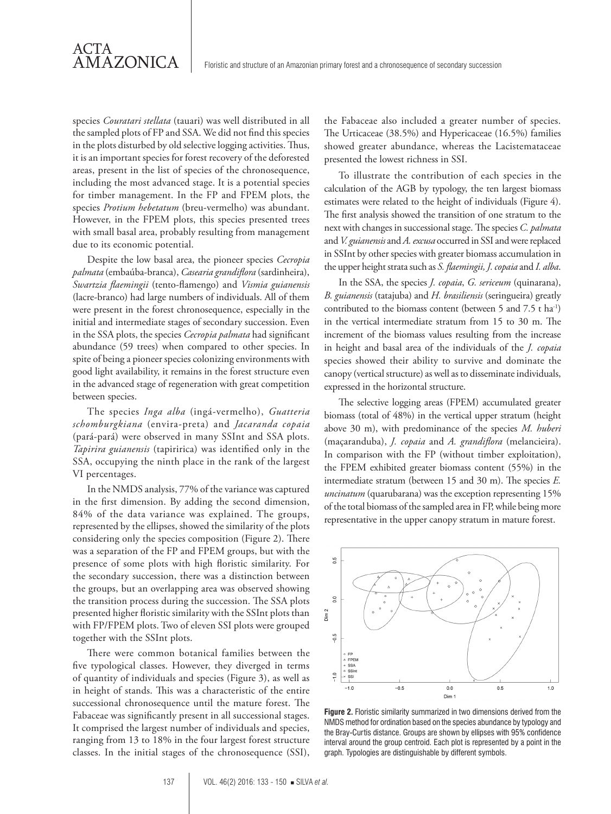species *Couratari stellata* (tauari) was well distributed in all the sampled plots of FP and SSA. We did not find this species in the plots disturbed by old selective logging activities. Thus, it is an important species for forest recovery of the deforested areas, present in the list of species of the chronosequence, including the most advanced stage. It is a potential species for timber management. In the FP and FPEM plots, the species *Protium hebetatum* (breu-vermelho) was abundant. However, in the FPEM plots, this species presented trees with small basal area, probably resulting from management due to its economic potential.

ACTA

AMAZONICA

Despite the low basal area, the pioneer species *Cecropia palmata* (embaúba-branca), *Casearia grandiflora* (sardinheira), *Swartzia flaemingii* (tento-flamengo) and *Vismia guianensis* (lacre-branco) had large numbers of individuals. All of them were present in the forest chronosequence, especially in the initial and intermediate stages of secondary succession. Even in the SSA plots, the species *Cecropia palmata* had significant abundance (59 trees) when compared to other species. In spite of being a pioneer species colonizing environments with good light availability, it remains in the forest structure even in the advanced stage of regeneration with great competition between species.

The species *Inga alba* (ingá-vermelho), *Guatteria schomburgkiana* (envira-preta) and *Jacaranda copaia* (pará-pará) were observed in many SSInt and SSA plots. *Tapirira guianensis* (tapiririca) was identified only in the SSA, occupying the ninth place in the rank of the largest VI percentages.

In the NMDS analysis, 77% of the variance was captured in the first dimension. By adding the second dimension, 84% of the data variance was explained. The groups, represented by the ellipses, showed the similarity of the plots considering only the species composition (Figure 2). There was a separation of the FP and FPEM groups, but with the presence of some plots with high floristic similarity. For the secondary succession, there was a distinction between the groups, but an overlapping area was observed showing the transition process during the succession. The SSA plots presented higher floristic similarity with the SSInt plots than with FP/FPEM plots. Two of eleven SSI plots were grouped together with the SSInt plots.

There were common botanical families between the five typological classes. However, they diverged in terms of quantity of individuals and species (Figure 3), as well as in height of stands. This was a characteristic of the entire successional chronosequence until the mature forest. The Fabaceae was significantly present in all successional stages. It comprised the largest number of individuals and species, ranging from 13 to 18% in the four largest forest structure classes. In the initial stages of the chronosequence (SSI),

the Fabaceae also included a greater number of species. The Urticaceae (38.5%) and Hypericaceae (16.5%) families showed greater abundance, whereas the Lacistemataceae presented the lowest richness in SSI.

To illustrate the contribution of each species in the calculation of the AGB by typology, the ten largest biomass estimates were related to the height of individuals (Figure 4). The first analysis showed the transition of one stratum to the next with changes in successional stage. The species *C. palmata* and *V. guianensis* and *A. excusa* occurred in SSI and were replaced in SSInt by other species with greater biomass accumulation in the upper height strata such as *S. flaemingii, J. copaia* and *I. alba*.

In the SSA, the species *J. copaia*, *G. sericeum* (quinarana), *B. guianensis* (tatajuba) and *H. brasiliensis* (seringueira) greatly contributed to the biomass content (between 5 and 7.5 t ha-1) in the vertical intermediate stratum from 15 to 30 m. The increment of the biomass values resulting from the increase in height and basal area of the individuals of the *J. copaia* species showed their ability to survive and dominate the canopy (vertical structure) as well as to disseminate individuals, expressed in the horizontal structure.

The selective logging areas (FPEM) accumulated greater biomass (total of 48%) in the vertical upper stratum (height above 30 m), with predominance of the species *M. huberi* (maçaranduba), *J. copaia* and *A. grandiflora* (melancieira). In comparison with the FP (without timber exploitation), the FPEM exhibited greater biomass content (55%) in the intermediate stratum (between 15 and 30 m). The species *E. uncinatum* (quarubarana) was the exception representing 15% of the total biomass of the sampled area in FP, while being more representative in the upper canopy stratum in mature forest.



**Figure 2.** Floristic similarity summarized in two dimensions derived from the NMDS method for ordination based on the species abundance by typology and the Bray-Curtis distance. Groups are shown by ellipses with 95% confidence interval around the group centroid. Each plot is represented by a point in the graph. Typologies are distinguishable by different symbols.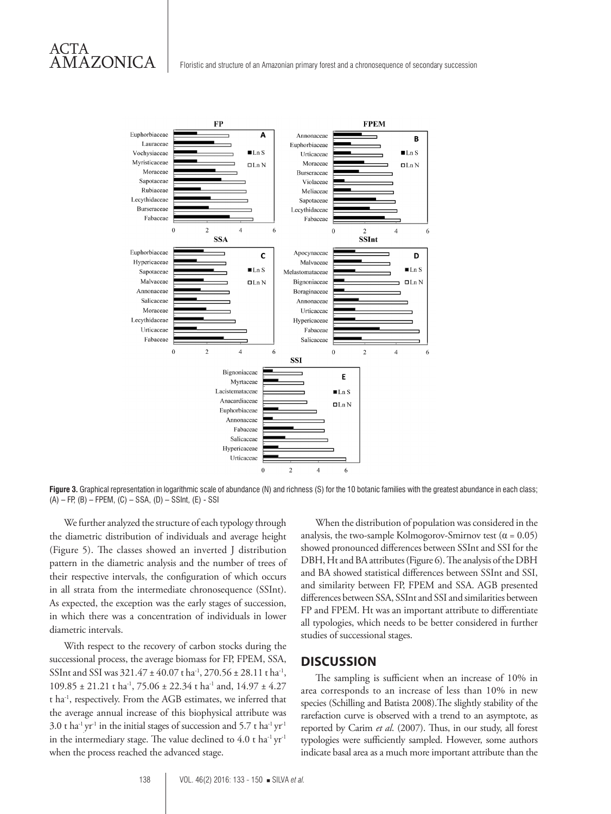# ACTA AMAZONICA

Floristic and structure of an Amazonian primary forest and a chronosequence of secondary succession



**Figure 3.** Graphical representation in logarithmic scale of abundance (N) and richness (S) for the 10 botanic families with the greatest abundance in each class;  $(A)$  – FP,  $(B)$  – FPEM,  $(C)$  – SSA,  $(D)$  – SSInt,  $(E)$  - SSI

We further analyzed the structure of each typology through the diametric distribution of individuals and average height (Figure 5). The classes showed an inverted J distribution pattern in the diametric analysis and the number of trees of their respective intervals, the configuration of which occurs in all strata from the intermediate chronosequence (SSInt). As expected, the exception was the early stages of succession, in which there was a concentration of individuals in lower diametric intervals.

With respect to the recovery of carbon stocks during the successional process, the average biomass for FP, FPEM, SSA, SSInt and SSI was 321.47 ± 40.07 t ha-1, 270.56 ± 28.11 t ha-1,  $109.85 \pm 21.21$  t ha<sup>-1</sup>, 75.06  $\pm$  22.34 t ha<sup>-1</sup> and, 14.97  $\pm$  4.27 t ha-1, respectively. From the AGB estimates, we inferred that the average annual increase of this biophysical attribute was  $3.0$  t ha<sup>-1</sup> yr<sup>-1</sup> in the initial stages of succession and  $5.7$  t ha<sup>-1</sup> yr<sup>-1</sup> in the intermediary stage. The value declined to  $4.0$  t ha<sup>-1</sup> yr<sup>-1</sup> when the process reached the advanced stage.

When the distribution of population was considered in the analysis, the two-sample Kolmogorov-Smirnov test ( $\alpha$  = 0.05) showed pronounced differences between SSInt and SSI for the DBH, Ht and BA attributes (Figure 6). The analysis of the DBH and BA showed statistical differences between SSInt and SSI, and similarity between FP, FPEM and SSA. AGB presented differences between SSA, SSInt and SSI and similarities between FP and FPEM. Ht was an important attribute to differentiate all typologies, which needs to be better considered in further studies of successional stages.

#### **DISCUSSION**

The sampling is sufficient when an increase of 10% in area corresponds to an increase of less than 10% in new species (Schilling and Batista 2008).The slightly stability of the rarefaction curve is observed with a trend to an asymptote, as reported by Carim *et al*. (2007). Thus, in our study, all forest typologies were sufficiently sampled. However, some authors indicate basal area as a much more important attribute than the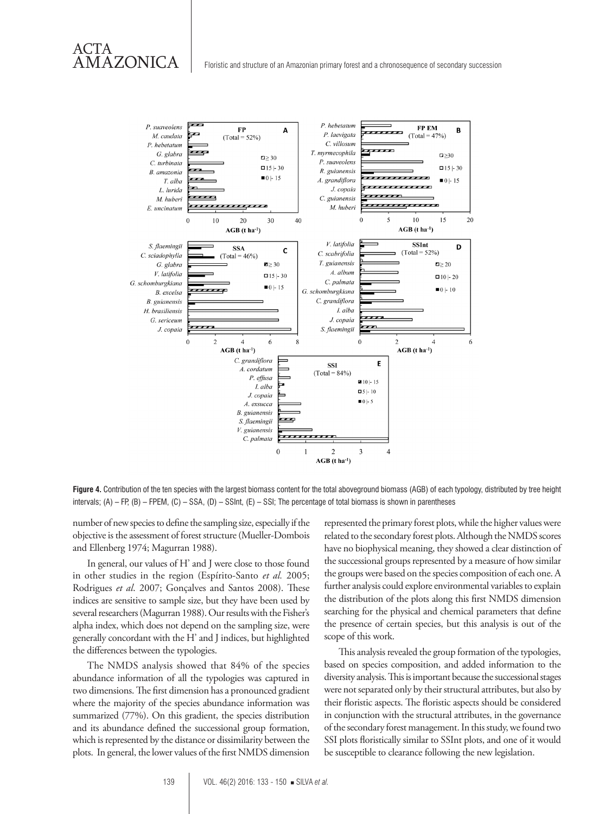

**Figure 4.** Contribution of the ten species with the largest biomass content for the total aboveground biomass (AGB) of each typology, distributed by tree height intervals;  $(A)$  – FP,  $(B)$  – FPEM,  $(C)$  – SSA,  $(D)$  – SSInt,  $(E)$  – SSI; The percentage of total biomass is shown in parentheses

number of new species to define the sampling size, especially if the objective is the assessment of forest structure (Mueller-Dombois and Ellenberg 1974; Magurran 1988).

ACTA

AMAZONICA

In general, our values of H' and J were close to those found in other studies in the region (Espírito-Santo *et al.* 2005; Rodrigues *et al*. 2007; Gonçalves and Santos 2008). These indices are sensitive to sample size, but they have been used by several researchers (Magurran 1988). Our results with the Fisher's alpha index, which does not depend on the sampling size, were generally concordant with the H' and J indices, but highlighted the differences between the typologies.

The NMDS analysis showed that 84% of the species abundance information of all the typologies was captured in two dimensions. The first dimension has a pronounced gradient where the majority of the species abundance information was summarized (77%). On this gradient, the species distribution and its abundance defined the successional group formation, which is represented by the distance or dissimilarity between the plots. In general, the lower values of the first NMDS dimension

represented the primary forest plots, while the higher values were related to the secondary forest plots. Although the NMDS scores have no biophysical meaning, they showed a clear distinction of the successional groups represented by a measure of how similar the groups were based on the species composition of each one. A further analysis could explore environmental variables to explain the distribution of the plots along this first NMDS dimension searching for the physical and chemical parameters that define the presence of certain species, but this analysis is out of the scope of this work.

This analysis revealed the group formation of the typologies, based on species composition, and added information to the diversity analysis. This is important because the successional stages were not separated only by their structural attributes, but also by their floristic aspects. The floristic aspects should be considered in conjunction with the structural attributes, in the governance of the secondary forest management. In this study, we found two SSI plots floristically similar to SSInt plots, and one of it would be susceptible to clearance following the new legislation.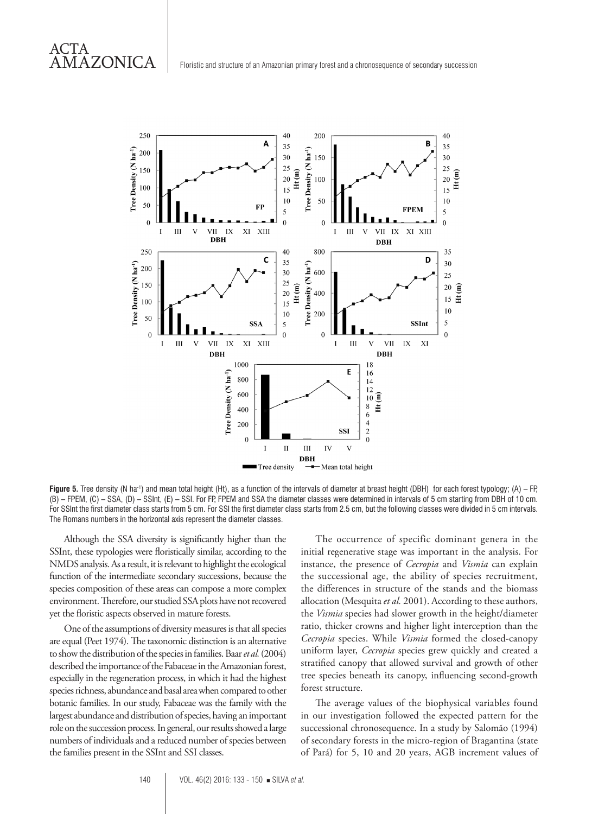ACTA **AMAZONICA** 

Floristic and structure of an Amazonian primary forest and a chronosequence of secondary succession



Figure 5. Tree density (N ha<sup>-1</sup>) and mean total height (Ht), as a function of the intervals of diameter at breast height (DBH) for each forest typology; (A) – FP, (B) – FPEM, (C) – SSA, (D) – SSInt, (E) – SSI. For FP, FPEM and SSA the diameter classes were determined in intervals of 5 cm starting from DBH of 10 cm. For SSInt the first diameter class starts from 5 cm. For SSI the first diameter class starts from 2.5 cm, but the following classes were divided in 5 cm intervals. The Romans numbers in the horizontal axis represent the diameter classes.

Although the SSA diversity is significantly higher than the SSInt, these typologies were floristically similar, according to the NMDS analysis. As a result, it is relevant to highlight the ecological function of the intermediate secondary successions, because the species composition of these areas can compose a more complex environment. Therefore, our studied SSA plots have not recovered yet the floristic aspects observed in mature forests.

One of the assumptions of diversity measures is that all species are equal (Peet 1974). The taxonomic distinction is an alternative to show the distribution of the species in families. Baar *et al.* (2004) described the importance of the Fabaceae in the Amazonian forest, especially in the regeneration process, in which it had the highest species richness, abundance and basal area when compared to other botanic families. In our study, Fabaceae was the family with the largest abundance and distribution of species, having an important role on the succession process. In general, our results showed a large numbers of individuals and a reduced number of species between the families present in the SSInt and SSI classes.

The occurrence of specific dominant genera in the initial regenerative stage was important in the analysis. For instance, the presence of *Cecropia* and *Vismia* can explain the successional age, the ability of species recruitment, the differences in structure of the stands and the biomass allocation (Mesquita *et al.* 2001). According to these authors, the *Vismia* species had slower growth in the height/diameter ratio, thicker crowns and higher light interception than the *Cecropia* species. While *Vismia* formed the closed-canopy uniform layer, *Cecropia* species grew quickly and created a stratified canopy that allowed survival and growth of other tree species beneath its canopy, influencing second-growth forest structure.

The average values of the biophysical variables found in our investigation followed the expected pattern for the successional chronosequence. In a study by Salomão (1994) of secondary forests in the micro-region of Bragantina (state of Pará) for 5, 10 and 20 years, AGB increment values of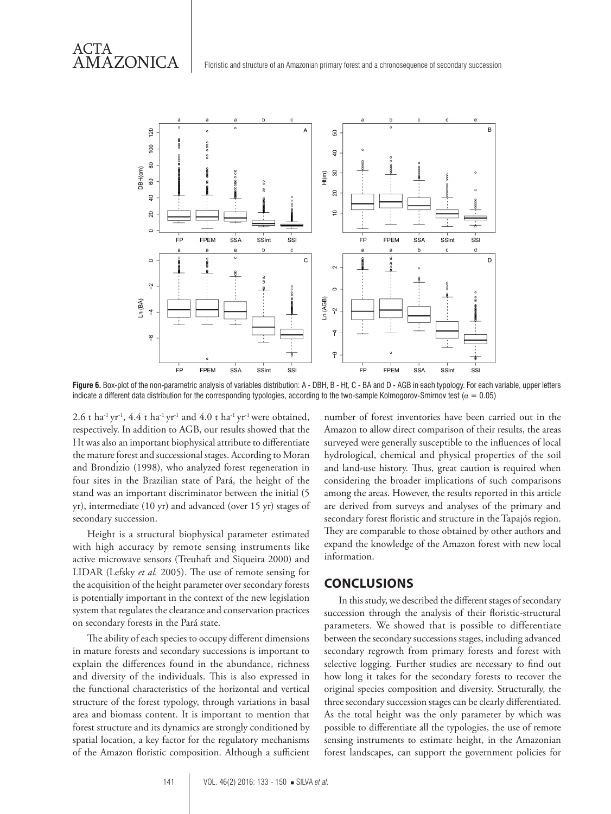

**Figure 6.** Box-plot of the non-parametric analysis of variables distribution: A - DBH, B - Ht, C - BA and D - AGB in each typology. For each variable, upper letters indicate a different data distribution for the corresponding typologies, according to the two-sample Kolmogorov-Smirnov test ( $\alpha = 0.05$ )

2.6 t ha<sup>-1</sup> yr<sup>-1</sup>, 4.4 t ha<sup>-1</sup> yr<sup>-1</sup> and 4.0 t ha<sup>-1</sup> yr<sup>-1</sup> were obtained, respectively. In addition to AGB, our results showed that the Ht was also an important biophysical attribute to differentiate the mature forest and successional stages. According to Moran and Brondı́zio (1998), who analyzed forest regeneration in four sites in the Brazilian state of Pará, the height of the stand was an important discriminator between the initial (5 yr), intermediate (10 yr) and advanced (over 15 yr) stages of secondary succession.

Height is a structural biophysical parameter estimated with high accuracy by remote sensing instruments like active microwave sensors (Treuhaft and Siqueira 2000) and LIDAR (Lefsky *et al.* 2005). The use of remote sensing for the acquisition of the height parameter over secondary forests is potentially important in the context of the new legislation system that regulates the clearance and conservation practices on secondary forests in the Pará state.

The ability of each species to occupy different dimensions in mature forests and secondary successions is important to explain the differences found in the abundance, richness and diversity of the individuals. This is also expressed in the functional characteristics of the horizontal and vertical structure of the forest typology, through variations in basal area and biomass content. It is important to mention that forest structure and its dynamics are strongly conditioned by spatial location, a key factor for the regulatory mechanisms of the Amazon floristic composition. Although a sufficient

number of forest inventories have been carried out in the Amazon to allow direct comparison of their results, the areas surveyed were generally susceptible to the influences of local hydrological, chemical and physical properties of the soil and land-use history. Thus, great caution is required when considering the broader implications of such comparisons among the areas. However, the results reported in this article are derived from surveys and analyses of the primary and secondary forest floristic and structure in the Tapajós region. They are comparable to those obtained by other authors and expand the knowledge of the Amazon forest with new local information.

#### **CONCLUSIONS**

In this study, we described the different stages of secondary succession through the analysis of their floristic-structural parameters. We showed that is possible to differentiate between the secondary successions stages, including advanced secondary regrowth from primary forests and forest with selective logging. Further studies are necessary to find out how long it takes for the secondary forests to recover the original species composition and diversity. Structurally, the three secondary succession stages can be clearly differentiated. As the total height was the only parameter by which was possible to differentiate all the typologies, the use of remote sensing instruments to estimate height, in the Amazonian forest landscapes, can support the government policies for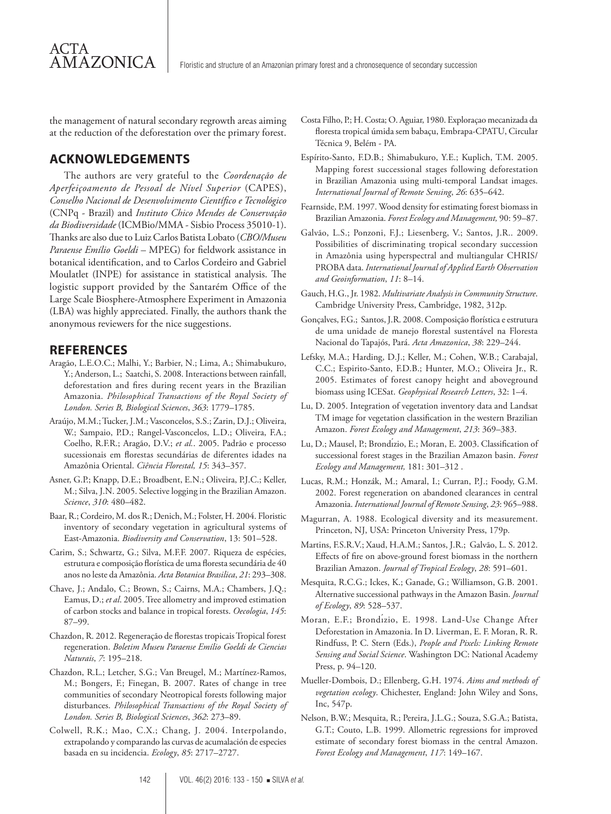the management of natural secondary regrowth areas aiming at the reduction of the deforestation over the primary forest.

# **ACKNOWLEDGEMENTS**

The authors are very grateful to the *Coordenação de Aperfeiçoamento de Pessoal de Nível Superior* (CAPES), *Conselho Nacional de Desenvolvimento Científico e Tecnológico* (CNPq - Brazil) and *Instituto Chico Mendes de Conservação da Biodiversidade* (ICMBio/MMA - Sisbio Process 35010-1). Thanks are also due to Luiz Carlos Batista Lobato (*CBO/Museu Paraense Emílio Goeldi* – MPEG) for fieldwork assistance in botanical identification, and to Carlos Cordeiro and Gabriel Moulatlet (INPE) for assistance in statistical analysis. The logistic support provided by the Santarém Office of the Large Scale Biosphere-Atmosphere Experiment in Amazonia (LBA) was highly appreciated. Finally, the authors thank the anonymous reviewers for the nice suggestions.

### **REFERENCES**

- Aragão, L.E.O.C.; Malhi, Y.; Barbier, N.; Lima, A.; Shimabukuro, Y.; Anderson, L.; Saatchi, S. 2008. Interactions between rainfall, deforestation and fires during recent years in the Brazilian Amazonia. *Philosophical Transactions of the Royal Society of London. Series B, Biological Sciences*, *363*: 1779–1785.
- Araújo, M.M.; Tucker, J.M.; Vasconcelos, S.S.; Zarin, D.J.; Oliveira, W.; Sampaio, P.D.; Rangel-Vasconcelos, L.D.; Oliveira, F.A.; Coelho, R.F.R.; Aragão, D.V.; *et al.*. 2005. Padrão e processo sucessionais em florestas secundárias de diferentes idades na Amazônia Oriental. *Ciência Florestal, 15*: 343–357.
- Asner, G.P.; Knapp, D.E.; Broadbent, E.N.; Oliveira, P.J.C.; Keller, M.; Silva, J.N. 2005. Selective logging in the Brazilian Amazon. *Science*, *310*: 480–482.
- Baar, R.; Cordeiro, M. dos R.; Denich, M.; Folster, H. 2004. Floristic inventory of secondary vegetation in agricultural systems of East-Amazonia. *Biodiversity and Conservation*, 13: 501–528.
- Carim, S.; Schwartz, G.; Silva, M.F.F. 2007. Riqueza de espécies, estrutura e composição florística de uma floresta secundária de 40 anos no leste da Amazônia. *Acta Botanica Brasilica*, *21*: 293–308.
- Chave, J.; Andalo, C.; Brown, S.; Cairns, M.A.; Chambers, J.Q.; Eamus, D.; *et al*. 2005. Tree allometry and improved estimation of carbon stocks and balance in tropical forests. *Oecologia*, *145*: 87–99.
- Chazdon, R. 2012. Regeneração de florestas tropicais Tropical forest regeneration. *Boletim Museu Paraense Emílio Goeldi de Ciencias Naturais*, *7*: 195–218.
- Chazdon, R.L.; Letcher, S.G.; Van Breugel, M.; Martínez-Ramos, M.; Bongers, F.; Finegan, B. 2007. Rates of change in tree communities of secondary Neotropical forests following major disturbances. *Philosophical Transactions of the Royal Society of London. Series B, Biological Sciences*, *362*: 273–89.
- Colwell, R.K.; Mao, C.X.; Chang, J. 2004. Interpolando, extrapolando y comparando las curvas de acumalación de especies basada en su incidencia. *Ecology*, *85*: 2717–2727.
- Costa Filho, P.; H. Costa; O. Aguiar, 1980. Exploraçao mecanizada da floresta tropical úmida sem babaçu, Embrapa-CPATU, Circular Técnica 9, Belém - PA.
- Espírito-Santo, F.D.B.; Shimabukuro, Y.E.; Kuplich, T.M. 2005. Mapping forest successional stages following deforestation in Brazilian Amazonia using multi‐temporal Landsat images. *International Journal of Remote Sensing*, *26*: 635–642.
- Fearnside, P.M. 1997. Wood density for estimating forest biomass in Brazilian Amazonia. *Forest Ecology and Management,* 90: 59–87.
- Galvão, L.S.; Ponzoni, F.J.; Liesenberg, V.; Santos, J.R.. 2009. Possibilities of discriminating tropical secondary succession in Amazônia using hyperspectral and multiangular CHRIS/ PROBA data. *International Journal of Applied Earth Observation and Geoinformation*, *11*: 8–14.
- Gauch, H.G., Jr. 1982. *Multivariate Analysis in Community Structure*. Cambridge University Press, Cambridge, 1982, 312p.
- Gonçalves, F.G.; Santos, J.R. 2008. Composição florística e estrutura de uma unidade de manejo florestal sustentável na Floresta Nacional do Tapajós, Pará. *Acta Amazonica*, *38*: 229–244.
- Lefsky, M.A.; Harding, D.J.; Keller, M.; Cohen, W.B.; Carabajal, C.C.; Espirito-Santo, F.D.B.; Hunter, M.O.; Oliveira Jr., R. 2005. Estimates of forest canopy height and aboveground biomass using ICESat. *Geophysical Research Letters*, 32: 1–4.
- Lu, D. 2005. Integration of vegetation inventory data and Landsat TM image for vegetation classification in the western Brazilian Amazon. *Forest Ecology and Management*, *213*: 369–383.
- Lu, D.; Mausel, P.; Brondı́zio, E.; Moran, E. 2003. Classification of successional forest stages in the Brazilian Amazon basin. *Forest Ecology and Management,* 181: 301–312 .
- Lucas, R.M.; Honzák, M.; Amaral, I.; Curran, P.J.; Foody, G.M. 2002. Forest regeneration on abandoned clearances in central Amazonia. *International Journal of Remote Sensing*, *23*: 965–988.
- Magurran, A. 1988. Ecological diversity and its measurement. Princeton, NJ, USA: Princeton University Press, 179p.
- Martins, F.S.R.V.; Xaud, H.A.M.; Santos, J.R.; Galvão, L. S. 2012. Effects of fire on above-ground forest biomass in the northern Brazilian Amazon. *Journal of Tropical Ecology*, *28*: 591–601.
- Mesquita, R.C.G.; Ickes, K.; Ganade, G.; Williamson, G.B. 2001. Alternative successional pathways in the Amazon Basin. *Journal of Ecology*, *89*: 528–537.
- Moran, E.F.; Brondı́zio, E. 1998. Land-Use Change After Deforestation in Amazonia. In D. Liverman, E. F. Moran, R. R. Rindfuss, P. C. Stern (Eds.), *People and Pixels: Linking Remote Sensing and Social Science*. Washington DC: National Academy Press, p. 94–120.
- Mueller-Dombois, D.; Ellenberg, G.H. 1974. *Aims and methods of vegetation ecology*. Chichester, England: John Wiley and Sons, Inc, 547p.
- Nelson, B.W.; Mesquita, R.; Pereira, J.L.G.; Souza, S.G.A.; Batista, G.T.; Couto, L.B. 1999. Allometric regressions for improved estimate of secondary forest biomass in the central Amazon. *Forest Ecology and Management*, *117*: 149–167.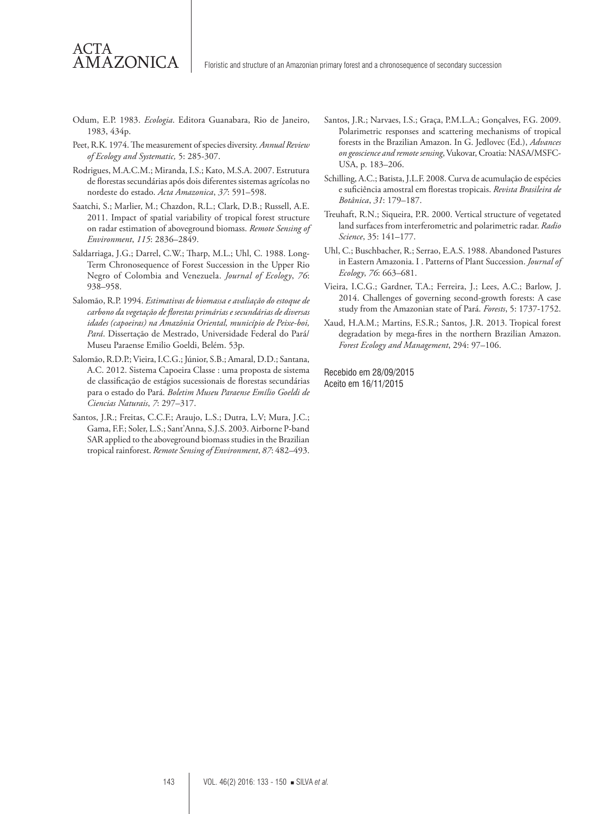Odum, E.P. 1983. *Ecologia*. Editora Guanabara, Rio de Janeiro, 1983, 434p.

ACTA

AMAZONICA

- Peet, R.K. 1974. The measurement of species diversity. *Annual Review of Ecology and Systematic,* 5: 285-307.
- Rodrigues, M.A.C.M.; Miranda, I.S.; Kato, M.S.A. 2007. Estrutura de florestas secundárias após dois diferentes sistemas agrícolas no nordeste do estado. *Acta Amazonica*, *37*: 591–598.
- Saatchi, S.; Marlier, M.; Chazdon, R.L.; Clark, D.B.; Russell, A.E. 2011. Impact of spatial variability of tropical forest structure on radar estimation of aboveground biomass. *Remote Sensing of Environment*, *115*: 2836–2849.
- Saldarriaga, J.G.; Darrel, C.W.; Tharp, M.L.; Uhl, C. 1988. Long-Term Chronosequence of Forest Succession in the Upper Rio Negro of Colombia and Venezuela. *Journal of Ecology*, *76*: 938–958.
- Salomão, R.P. 1994. *Estimativas de biomassa e avaliação do estoque de carbono da vegetação de florestas primárias e secundárias de diversas idades (capoeiras) na Amazônia Oriental, município de Peixe-boi, Pará*. Dissertação de Mestrado, Universidade Federal do Pará/ Museu Paraense Emilio Goeldi, Belém. 53p.
- Salomão, R.D.P.; Vieira, I.C.G.; Júnior, S.B.; Amaral, D.D.; Santana, A.C. 2012. Sistema Capoeira Classe : uma proposta de sistema de classificação de estágios sucessionais de florestas secundárias para o estado do Pará. *Boletim Museu Paraense Emílio Goeldi de Ciencias Naturais*, *7*: 297–317.
- Santos, J.R.; Freitas, C.C.F.; Araujo, L.S.; Dutra, L.V; Mura, J.C.; Gama, F.F.; Soler, L.S.; Sant'Anna, S.J.S. 2003. Airborne P-band SAR applied to the aboveground biomass studies in the Brazilian tropical rainforest. *Remote Sensing of Environment*, *87*: 482–493.
- Santos, J.R.; Narvaes, I.S.; Graça, P.M.L.A.; Gonçalves, F.G. 2009. Polarimetric responses and scattering mechanisms of tropical forests in the Brazilian Amazon. In G. Jedlovec (Ed.), *Advances on geoscience and remote sensing*, Vukovar, Croatia: NASA/MSFC-USA, p. 183–206.
- Schilling, A.C.; Batista, J.L.F. 2008. Curva de acumulação de espécies e suficiência amostral em florestas tropicais. *Revista Brasileira de Botânica*, *31*: 179–187.
- Treuhaft, R.N.; Siqueira, P.R. 2000. Vertical structure of vegetated land surfaces from interferometric and polarimetric radar. *Radio Science*, 35: 141–177.
- Uhl, C.; Buschbacher, R.; Serrao, E.A.S. 1988. Abandoned Pastures in Eastern Amazonia. I . Patterns of Plant Succession. *Journal of Ecology*, *76*: 663–681.
- Vieira, I.C.G.; Gardner, T.A.; Ferreira, J.; Lees, A.C.; Barlow, J. 2014. Challenges of governing second-growth forests: A case study from the Amazonian state of Pará. *Forests*, 5: 1737-1752.
- Xaud, H.A.M.; Martins, F.S.R.; Santos, J.R. 2013. Tropical forest degradation by mega-fires in the northern Brazilian Amazon. *Forest Ecology and Management*, 294: 97–106.

Recebido em 28/09/2015 Aceito em 16/11/2015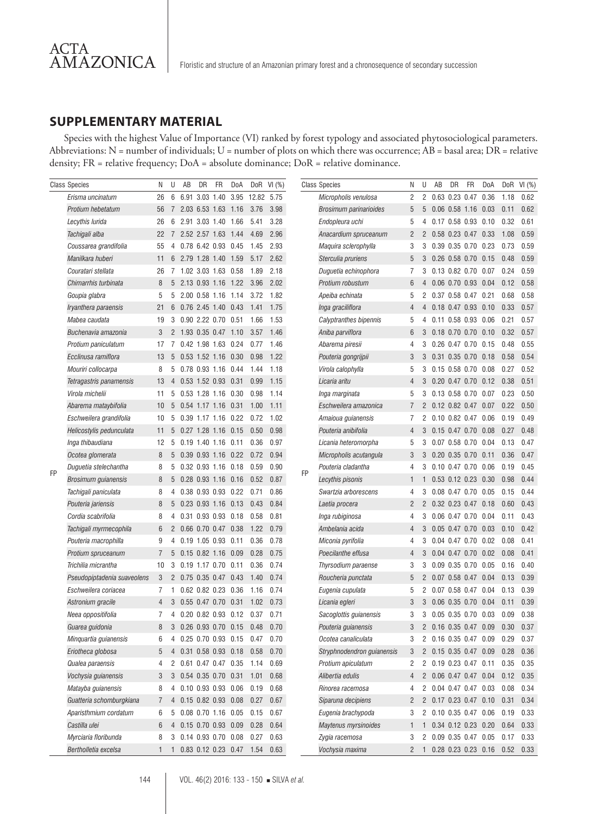# **SUPPLEMENTARY MATERIAL**

Species with the highest Value of Importance (VI) ranked by forest typology and associated phytosociological parameters. Abbreviations: N = number of individuals; U = number of plots on which there was occurrence;  $AB =$  basal area;  $DR =$  relative density; FR = relative frequency; DoA = absolute dominance; DoR = relative dominance.

|    | <b>Class Species</b>        | N  | U              | AB                              | DR | FR                  | DoA |            | DoR VI (%) |    | <b>Class Species</b>          | N              | U              | AB | DR               | FR                    | DoA                        |             | DoR $VI(%)$ |
|----|-----------------------------|----|----------------|---------------------------------|----|---------------------|-----|------------|------------|----|-------------------------------|----------------|----------------|----|------------------|-----------------------|----------------------------|-------------|-------------|
|    | Erisma uncinatum            | 26 | 6              | 6.91 3.03 1.40 3.95             |    |                     |     | 12.82 5.75 |            |    | Micropholis venulosa          | 2              | 2              |    |                  | 0.63 0.23 0.47 0.36   |                            | 1.18        | 0.62        |
|    | Protium hebetatum           | 56 | $\overline{7}$ | 2.03 6.53 1.63 1.16             |    |                     |     | 3.76       | 3.98       |    | <b>Brosimum parinarioides</b> | 5              | 5              |    |                  | 0.06 0.58 1.16 0.03   |                            | 0.11        | 0.62        |
|    | Lecythis Iurida             | 26 | 6              | 2.91 3.03 1.40 1.66             |    |                     |     | 5.41       | 3.28       |    | Endopleura uchi               | 5              | 4              |    |                  | 0.17 0.58 0.93 0.10   |                            | 0.32        | 0.61        |
|    | Tachigali alba              | 22 | $\overline{7}$ | 2.52 2.57 1.63 1.44             |    |                     |     | 4.69       | 2.96       |    | Anacardium spruceanum         | 2              | $\overline{2}$ |    |                  | 0.58 0.23 0.47 0.33   |                            | 1.08        | 0.59        |
|    | Coussarea grandifolia       | 55 | 4              | 0.78 6.42 0.93 0.45             |    |                     |     | 1.45       | 2.93       |    | Maquira sclerophylla          | 3              | 3              |    |                  | 0.39 0.35 0.70 0.23   |                            | 0.73        | 0.59        |
|    | Manilkara huberi            | 11 | 6              | 2.79 1.28 1.40 1.59             |    |                     |     | 5.17       | 2.62       |    | Sterculia pruriens            | 5              | 3              |    |                  | 0.26 0.58 0.70 0.15   |                            | 0.48        | 0.59        |
|    | Couratari stellata          | 26 | 7              | 1.02 3.03 1.63 0.58             |    |                     |     | 1.89       | 2.18       |    | Duguetia echinophora          | 7              | 3              |    |                  | 0.13 0.82 0.70 0.07   |                            | 0.24        | 0.59        |
|    | Chimarrhis turbinata        | 8  | 5              | 2.13 0.93 1.16 1.22             |    |                     |     | 3.96       | 2.02       |    | Protium robustum              | 6              | 4              |    |                  | 0.06 0.70 0.93 0.04   |                            | 0.12        | 0.58        |
|    | Goupia glabra               | 5  | 5              | 2.00 0.58 1.16 1.14             |    |                     |     | 3.72       | 1.82       |    | Apeiba echinata               | 5              | 2              |    |                  | 0.37 0.58 0.47 0.21   |                            | 0.68        | 0.58        |
|    | Iryanthera paraensis        | 21 | 6              | 0.76 2.45 1.40 0.43             |    |                     |     | 1.41       | 1.75       |    | Inga graciliflora             | 4              | 4              |    |                  | 0.18 0.47 0.93 0.10   |                            | 0.33        | 0.57        |
|    | Mabea caudata               | 19 | 3              | 0.90 2.22 0.70 0.51             |    |                     |     | 1.66       | 1.53       |    | Calyptranthes bipennis        | 5              | 4              |    |                  | 0.11 0.58 0.93 0.06   |                            | 0.21        | 0.57        |
|    | Buchenavia amazonia         | 3  | 2              | 1.93 0.35 0.47 1.10             |    |                     |     | 3.57       | 1.46       |    | Aniba parviflora              | 6              | 3              |    |                  | 0.18 0.70 0.70 0.10   |                            | 0.32        | 0.57        |
|    | Protium paniculatum         | 17 | 7              | 0.42 1.98 1.63 0.24             |    |                     |     | 0.77       | 1.46       |    | Abarema piresii               | 4              | 3              |    |                  | 0.26 0.47 0.70 0.15   |                            | 0.48        | 0.55        |
|    | Ecclinusa ramiflora         | 13 | 5              | 0.53 1.52 1.16 0.30             |    |                     |     | 0.98       | 1.22       |    | Pouteria gongrijpii           | 3              | 3              |    |                  | 0.31 0.35 0.70 0.18   |                            | 0.58        | 0.54        |
|    | Mouriri collocarpa          | 8  | 5              | 0.78 0.93 1.16 0.44             |    |                     |     | 1.44       | 1.18       |    | Virola calophylla             | 5              | 3              |    |                  | 0.15 0.58 0.70 0.08   |                            | 0.27        | 0.52        |
|    | Tetragastris panamensis     | 13 | 4              | 0.53 1.52 0.93 0.31             |    |                     |     | 0.99       | 1.15       |    | Licaria aritu                 | 4              | 3              |    |                  | 0.20 0.47 0.70 0.12   |                            | 0.38        | 0.51        |
|    | Virola michelii             | 11 | 5              | 0.53 1.28 1.16 0.30             |    |                     |     | 0.98       | 1.14       |    | Inga marginata                | 5              | 3              |    |                  | 0.13 0.58 0.70 0.07   |                            | 0.23        | 0.50        |
|    | Abarema mataybifolia        | 10 | 5              | 0.54 1.17 1.16 0.31             |    |                     |     | 1.00       | 1.11       |    | Eschweilera amazonica         | $\overline{7}$ | $\overline{2}$ |    |                  | 0.12 0.82 0.47 0.07   |                            | 0.22        | 0.50        |
|    | Eschweilera grandifolia     | 10 | 5              | 0.39 1.17 1.16 0.22             |    |                     |     | 0.72       | 1.02       |    | Amaioua guianensis            | 7              | 2              |    |                  | 0.10 0.82 0.47 0.06   |                            | 0.19        | 0.49        |
|    | Helicostylis pedunculata    | 11 | 5              | 0.27 1.28 1.16 0.15             |    |                     |     | 0.50       | 0.98       |    | Pouteria anibifolia           | 4              | 3              |    |                  | 0.15 0.47 0.70 0.08   |                            | 0.27        | 0.48        |
|    | Inga thibaudiana            | 12 | 5              | 0.19 1.40 1.16 0.11             |    |                     |     | 0.36       | 0.97       |    | Licania heteromorpha          | 5              | 3              |    | $0.07$ 0.58 0.70 |                       | 0.04                       | 0.13        | 0.47        |
|    | Ocotea glomerata            | 8  | 5              | 0.39 0.93 1.16 0.22             |    |                     |     | 0.72       | 0.94       |    | Micropholis acutangula        | 3              | 3              |    |                  | 0.20 0.35 0.70 0.11   |                            | 0.36        | 0.47        |
|    | Duguetia stelechantha       | 8  | 5              | 0.32 0.93 1.16 0.18             |    |                     |     | 0.59       | 0.90       |    | Pouteria cladantha            | 4              | 3              |    | $0.10$ 0.47 0.70 |                       | 0.06                       | 0.19        | 0.45        |
| FP | <b>Brosimum guianensis</b>  | 8  | 5              | 0.28 0.93 1.16 0.16             |    |                     |     | 0.52       | 0.87       | FP | Lecythis pisonis              | 1              | 1              |    |                  | 0.53 0.12 0.23 0.30   |                            | 0.98        | 0.44        |
|    | Tachigali paniculata        | 8  | 4              | 0.38 0.93 0.93 0.22             |    |                     |     | 0.71       | 0.86       |    | Swartzia arborescens          | 4              | 3              |    |                  | 0.08 0.47 0.70 0.05   |                            | 0.15        | 0.44        |
|    | Pouteria jariensis          | 8  | 5              | 0.23 0.93 1.16 0.13             |    |                     |     | 0.43       | 0.84       |    | Laetia procera                | $\overline{c}$ | $\overline{2}$ |    |                  | 0.32 0.23 0.47 0.18   |                            | 0.60        | 0.43        |
|    | Cordia scabrifolia          | 8  | 4              | 0.31 0.93 0.93 0.18             |    |                     |     | 0.58       | 0.81       |    | Inga rubiginosa               | 4              | 3              |    | 0.06 0.47 0.70   |                       | 0.04                       | 0.11        | 0.43        |
|    | Tachigali myrmecophila      | 6  | $\overline{2}$ | 0.66 0.70 0.47 0.38             |    |                     |     | 1.22       | 0.79       |    | Ambelania acida               | 4              | 3              |    |                  | $0.05$ 0.47 0.70 0.03 |                            | 0.10        | 0.42        |
|    | Pouteria macrophilla        | 9  | 4              | 0.19 1.05 0.93 0.11             |    |                     |     | 0.36       | 0.78       |    | Miconia pyrifolia             | 4              | 3              |    | $0.04$ 0.47 0.70 |                       | 0.02                       | 0.08        | 0.41        |
|    | Protium spruceanum          | 7  | 5              | 0.15 0.82 1.16 0.09             |    |                     |     | 0.28       | 0.75       |    | Poecilanthe effusa            | 4              | 3              |    |                  | $0.04$ 0.47 0.70 0.02 |                            | 0.08        | 0.41        |
|    | Trichilia micrantha         | 10 | 3              |                                 |    | 0.19 1.17 0.70 0.11 |     | 0.36       | 0.74       |    | Thyrsodium paraense           | 3              | 3              |    | $0.09$ 0.35 0.70 |                       | 0.05                       | 0.16        | 0.40        |
|    | Pseudopiptadenia suaveolens | 3  | $\overline{2}$ | 0.75 0.35 0.47 0.43             |    |                     |     | 1.40       | 0.74       |    | Roucheria punctata            | 5              | $\overline{2}$ |    |                  | 0.07 0.58 0.47 0.04   |                            | 0.13        | 0.39        |
|    | Eschweilera coriacea        | 7  | 1              |                                 |    | 0.62 0.82 0.23 0.36 |     | 1.16       | 0.74       |    | Eugenia cupulata              | 5              | 2              |    |                  | 0.07 0.58 0.47 0.04   |                            | 0.13        | 0.39        |
|    | Astronium gracile           | 4  | 3              | 0.55 0.47 0.70 0.31             |    |                     |     | 1.02       | 0.73       |    | Licania egleri                | 3              | 3              |    |                  | 0.06 0.35 0.70 0.04   |                            | 0.11        | 0.39        |
|    | Neea oppositifolia          | 7  | 4              | 0.20 0.82 0.93 0.12             |    |                     |     | 0.37       | 0.71       |    | Sacoglottis guianensis        | 3              | 3              |    |                  | 0.05 0.35 0.70 0.03   |                            | 0.09        | 0.38        |
|    | Guarea guidonia             | 8  | 3              | 0.26 0.93 0.70 0.15             |    |                     |     | 0.48       | 0.70       |    | Pouteria guianensis           | 3              | $\overline{2}$ |    |                  | 0.16 0.35 0.47 0.09   |                            | 0.30        | 0.37        |
|    | Minquartia guianensis       | 6  | 4              | 0.25 0.70 0.93 0.15             |    |                     |     | 0.47       | 0.70       |    | Ocotea canaliculata           | 3              | 2              |    |                  | 0.16 0.35 0.47 0.09   |                            | 0.29        | 0.37        |
|    | Eriotheca globosa           | 5  |                | 4 0.31 0.58 0.93 0.18 0.58 0.70 |    |                     |     |            |            |    | Stryphnodendron guianensis    | 3              |                |    |                  | 2 0.15 0.35 0.47 0.09 |                            | 0.28        | 0.36        |
|    | Qualea paraensis            | 4  |                | 2 0.61 0.47 0.47 0.35           |    |                     |     | 1.14       | 0.69       |    | Protium apiculatum            | 2              | 2              |    |                  | 0.19 0.23 0.47 0.11   |                            | 0.35        | 0.35        |
|    | Vochysia guianensis         | 3  |                | 3 0.54 0.35 0.70 0.31           |    |                     |     | 1.01       | 0.68       |    | Alibertia edulis              | 4              |                |    |                  |                       | 2 0.06 0.47 0.47 0.04 0.12 |             | 0.35        |
|    | Matayba guianensis          | 8  |                | 4 0.10 0.93 0.93 0.06           |    |                     |     | 0.19       | 0.68       |    | Rinorea racemosa              | 4              | 2              |    |                  | 0.04 0.47 0.47 0.03   |                            | 0.08        | 0.34        |
|    | Guatteria schomburgkiana    | 7  |                | 4 0.15 0.82 0.93 0.08           |    |                     |     | 0.27       | 0.67       |    | Siparuna decipiens            | $\mathbf{2}$   |                |    |                  | 2 0.17 0.23 0.47 0.10 |                            | 0.31        | 0.34        |
|    | Aparisthmium cordatum       | 6  |                | 5 0.08 0.70 1.16 0.05           |    |                     |     | 0.15       | 0.67       |    | Eugenia brachypoda            | 3              | 2              |    |                  | 0.10 0.35 0.47 0.06   |                            | 0.19        | 0.33        |
|    | Castilla ulei               | 6  |                | 4 0.15 0.70 0.93 0.09           |    |                     |     | 0.28       | 0.64       |    | Maytenus myrsinoides          | 1.             | $\mathbf{1}$   |    |                  | 0.34 0.12 0.23 0.20   |                            | 0.64        | 0.33        |
|    | Myrciaria floribunda        | 8  |                | 3 0.14 0.93 0.70 0.08           |    |                     |     | 0.27       | 0.63       |    | Zygia racemosa                | 3              | 2              |    |                  | 0.09 0.35 0.47 0.05   |                            | 0.17        | 0.33        |
|    | Bertholletia excelsa        | 1. |                | 1 0.83 0.12 0.23 0.47 1.54      |    |                     |     |            | 0.63       |    | Vochysia maxima               | $\overline{2}$ |                |    |                  | 1 0.28 0.23 0.23 0.16 |                            | $0.52$ 0.33 |             |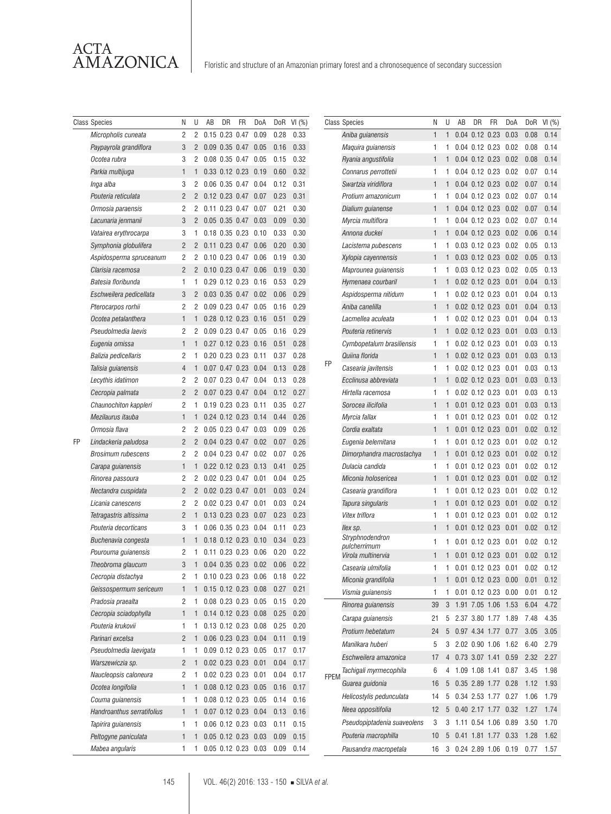

|    | <b>Class Species</b>       | N              | U              | AB | DR                          | FR | DoA                             |      | DoR $VI(%)$   |             | <b>Class Species</b>        | N            | U  | AB | DR                   | FR                    | DoA                             |      | DoR VI (%)                         |
|----|----------------------------|----------------|----------------|----|-----------------------------|----|---------------------------------|------|---------------|-------------|-----------------------------|--------------|----|----|----------------------|-----------------------|---------------------------------|------|------------------------------------|
|    | Micropholis cuneata        | 2              |                |    | 2 0.15 0.23 0.47            |    | 0.09                            | 0.28 | 0.33          |             | Aniba guianensis            | $\mathbf{1}$ | 1  |    | $0.04$ 0.12 0.23     |                       | 0.03                            | 0.08 | 0.14                               |
|    | Paypayrola grandiflora     | 3              |                |    | 2 0.09 0.35 0.47 0.05       |    |                                 | 0.16 | 0.33          |             | Maquira guianensis          | 1            | 1  |    | $0.04$ 0.12 0.23     |                       | 0.02                            | 0.08 | 0.14                               |
|    | Ocotea rubra               | 3              | 2              |    | 0.08 0.35 0.47 0.05         |    |                                 | 0.15 | 0.32          |             | Ryania angustifolia         | 1            | 1  |    | $0.04$ 0.12 0.23     |                       | 0.02                            | 0.08 | 0.14                               |
|    | Parkia multijuga           | $\mathbf{1}$   | 1              |    | 0.33 0.12 0.23 0.19         |    |                                 | 0.60 | 0.32          |             | Connarus perrottetii        | 1            | 1  |    | $0.04$ 0.12 0.23     |                       | 0.02                            | 0.07 | 0.14                               |
|    | Inga alba                  | 3              | 2              |    | 0.06 0.35 0.47 0.04         |    |                                 | 0.12 | 0.31          |             | Swartzia viridiflora        | 1            | 1  |    |                      | $0.04$ 0.12 0.23      | 0.02                            | 0.07 | 0.14                               |
|    | Pouteria reticulata        | $\overline{2}$ |                |    | 2 0.12 0.23 0.47 0.07       |    |                                 | 0.23 | 0.31          |             | Protium amazonicum          | 1            | 1  |    |                      | $0.04$ 0.12 0.23 0.02 |                                 | 0.07 | 0.14                               |
|    | Ormosia paraensis          | 2              | 2              |    | 0.11 0.23 0.47 0.07         |    |                                 | 0.21 | 0.30          |             | Dialium guianense           | 1            | 1  |    |                      | 0.04 0.12 0.23 0.02   |                                 | 0.07 | 0.14                               |
|    | Lacunaria jenmanii         | 3              |                |    | 2 0.05 0.35 0.47 0.03       |    |                                 | 0.09 | 0.30          |             | Myrcia multiflora           | 1            | 1  |    |                      | 0.04 0.12 0.23 0.02   |                                 | 0.07 | 0.14                               |
|    | Vatairea erythrocarpa      | 3              | 1              |    | $0.18$ $0.35$ $0.23$ $0.10$ |    |                                 | 0.33 | 0.30          |             | Annona duckei               | -1           | 1  |    |                      | 0.04 0.12 0.23 0.02   |                                 | 0.06 | 0.14                               |
|    | Symphonia globulifera      | $\overline{2}$ | $\overline{2}$ |    | 0.11 0.23 0.47 0.06         |    |                                 | 0.20 | 0.30          |             | Lacistema pubescens         | 1            | 1  |    |                      | 0.03 0.12 0.23 0.02   |                                 | 0.05 | 0.13                               |
|    | Aspidosperma spruceanum    | 2              | 2              |    | 0.10 0.23 0.47 0.06         |    |                                 | 0.19 | 0.30          |             | Xylopia cayennensis         | -1           |    |    |                      | 0.03 0.12 0.23 0.02   |                                 | 0.05 | 0.13                               |
|    | Clarisia racemosa          | $\overline{2}$ |                |    | 2 0.10 0.23 0.47 0.06       |    |                                 | 0.19 | 0.30          |             | Maprounea guianensis        | 1            | 1  |    |                      | 0.03 0.12 0.23 0.02   |                                 | 0.05 | 0.13                               |
|    | Batesia floribunda         | 1              | 1              |    | $0.29$ 0.12 0.23 0.16       |    |                                 | 0.53 | 0.29          |             | Hymenaea courbaril          | -1           |    |    |                      | $0.02$ 0.12 0.23      | 0.01                            | 0.04 | 0.13                               |
|    | Eschweilera pedicellata    | 3              |                |    | 2 0.03 0.35 0.47 0.02       |    |                                 | 0.06 | 0.29          |             | Aspidosperma nitidum        | 1            | 1  |    | $0.02$ 0.12 0.23     |                       | 0.01                            | 0.04 | 0.13                               |
|    | Pterocarpos rorhii         | $\overline{c}$ |                |    | 2 0.09 0.23 0.47 0.05       |    |                                 | 0.16 | 0.29          |             | Aniba canelilla             | -1           | 1  |    |                      | $0.02$ 0.12 0.23      | 0.01                            | 0.04 | 0.13                               |
|    | Ocotea petalanthera        | 1              | 1              |    | 0.28 0.12 0.23 0.16         |    |                                 | 0.51 | 0.29          |             | Lacmellea aculeata          | 1            | 1  |    | $0.02$ 0.12 0.23     |                       | 0.01                            | 0.04 | 0.13                               |
|    | Pseudolmedia laevis        | $\overline{2}$ | 2              |    | 0.09 0.23 0.47 0.05         |    |                                 | 0.16 | 0.29          |             | Pouteria retinervis         | 1            | 1  |    |                      | $0.02$ 0.12 0.23      | 0.01                            | 0.03 | 0.13                               |
|    | Eugenia omissa             | 1              | 1              |    | 0.27 0.12 0.23 0.16         |    |                                 | 0.51 | 0.28          |             | Cymbopetalum brasiliensis   | 1            | 1  |    |                      | $0.02$ 0.12 0.23      | 0.01                            | 0.03 | 0.13                               |
|    | Balizia pedicellaris       | 2              | 1              |    | $0.20$ $0.23$ $0.23$ $0.11$ |    |                                 | 0.37 | 0.28          |             | Quiina florida              | -1           | 1  |    | $0.02$ 0.12 0.23     |                       | 0.01                            | 0.03 | 0.13                               |
|    | Talisia guianensis         | $\overline{4}$ | 1.             |    | 0.07 0.47 0.23 0.04         |    |                                 | 0.13 | 0.28          | FP          | Casearia javitensis         | 1            | 1  |    | $0.02$ 0.12 0.23     |                       | 0.01                            | 0.03 | 0.13                               |
|    | Lecythis idatimon          | 2              |                |    | 2 0.07 0.23 0.47 0.04       |    |                                 | 0.13 | 0.28          |             | Ecclinusa abbreviata        | 1            | 1  |    |                      | 0.02 0.12 0.23 0.01   |                                 | 0.03 | 0.13                               |
|    | Cecropia palmata           | $\overline{2}$ |                |    | 2 0.07 0.23 0.47 0.04       |    |                                 | 0.12 | 0.27          |             | Hirtella racemosa           | 1            | 1  |    | $0.02$ 0.12 0.23     |                       | 0.01                            | 0.03 | 0.13                               |
|    | Chaunochiton kappleri      | 2              | 1              |    | $0.19$ $0.23$ $0.23$        |    | 0.11                            | 0.35 | 0.27          |             | Sorocea ilicifolia          | 1            | 1  |    |                      | 0.01 0.12 0.23 0.01   |                                 | 0.03 | 0.13                               |
|    | Mezilaurus itauba          | 1              | 1              |    | 0.24 0.12 0.23 0.14         |    |                                 | 0.44 | 0.26          |             | Myrcia fallax               | 1            | 1  |    | $0.01$ 0.12 0.23     |                       | 0.01                            | 0.02 | 0.12                               |
|    | Ormosia flava              | 2              |                |    | 2 0.05 0.23 0.47 0.03       |    |                                 | 0.09 | 0.26          |             | Cordia exaltata             | 1            | 1  |    |                      | $0.01$ 0.12 0.23      | 0.01                            | 0.02 | 0.12                               |
| FP | Lindackeria paludosa       | $\overline{2}$ |                |    | 2 0.04 0.23 0.47 0.02       |    |                                 | 0.07 | 0.26          |             | Eugenia belemitana          | 1            | 1  |    | $0.01$ 0.12 0.23     |                       | 0.01                            | 0.02 | 0.12                               |
|    | <b>Brosimum rubescens</b>  | 2              |                |    | 2 0.04 0.23 0.47 0.02       |    |                                 | 0.07 | 0.26          |             | Dimorphandra macrostachya   | 1            | 1  |    |                      | $0.01$ 0.12 0.23      | 0.01                            | 0.02 | 0.12                               |
|    | Carapa guianensis          | 1              | 1.             |    | $0.22$ 0.12 0.23 0.13       |    |                                 | 0.41 | 0.25          |             | Dulacia candida             | 1            | 1  |    | $0.01$ 0.12 0.23     |                       | 0.01                            | 0.02 | 0.12                               |
|    | Rinorea passoura           | 2              | 2              |    | 0.02 0.23 0.47 0.01         |    |                                 | 0.04 | 0.25          |             | Miconia holosericea         | 1            | 1  |    |                      | $0.01$ 0.12 0.23      | 0.01                            | 0.02 | 0.12                               |
|    | Nectandra cuspidata        | $\overline{2}$ |                |    | 2 0.02 0.23 0.47 0.01       |    |                                 | 0.03 | 0.24          |             | Casearia grandiflora        | 1            | 1  |    | $0.01$ 0.12 0.23     |                       | 0.01                            | 0.02 | 0.12                               |
|    | Licania canescens          | 2              | 2              |    | 0.02 0.23 0.47 0.01         |    |                                 | 0.03 | 0.24          |             | Tapura singularis           | 1            | 1  |    |                      | $0.01$ 0.12 0.23      | 0.01                            | 0.02 | 0.12                               |
|    | Tetragastris altissima     | $\overline{2}$ | 1              |    | 0.13 0.23 0.23 0.07         |    |                                 | 0.23 | 0.23          |             | Vitex triflora              | 1            | 1  |    | $0.01$ 0.12 0.23     |                       | 0.01                            | 0.02 | 0.12                               |
|    | Pouteria decorticans       | 3              | 1              |    | 0.06 0.35 0.23              |    | 0.04                            | 0.11 | 0.23          |             | llex sp.                    | 1            | 1. |    |                      | $0.01$ 0.12 0.23 0.01 |                                 | 0.02 | 0.12                               |
|    | Buchenavia congesta        | 1              |                |    | 0.18 0.12 0.23 0.10         |    |                                 | 0.34 | 0.23          |             | Stryphnodendron             | 1            | 1  |    | $0.01$ $0.12$ $0.23$ |                       | 0.01                            | 0.02 | 0.12                               |
|    | Pourouma guianensis        | 2              |                |    | $0.11$ 0.23 0.23            |    | 0.06                            | 0.20 | 0.22          |             | pulcherrimum                |              |    |    |                      |                       |                                 |      |                                    |
|    | Theobroma glaucum          | 3              | 1.             |    | 0.04 0.35 0.23 0.02         |    |                                 | 0.06 | 0.22          |             | Virola multinervia          |              | 1  |    |                      | 0.01 0.12 0.23 0.01   |                                 | 0.02 | 0.12                               |
|    | Cecropia distachya         | 2              |                |    |                             |    | 1 0.10 0.23 0.23 0.06 0.18 0.22 |      |               |             | Casearia ulmifolia          | 1            |    |    |                      | $0.01$ 0.12 0.23 0.01 | 1 0.01 0.12 0.23 0.00 0.01 0.12 | 0.02 | 0.12                               |
|    | Geissospermum sericeum     | 1.             |                |    | 1 0.15 0.12 0.23 0.08       |    |                                 |      | $0.27$ 0.21   |             | Miconia grandifolia         | 1            |    |    |                      |                       |                                 |      |                                    |
|    | Pradosia praealta          | 2              | 1.             |    | 0.08 0.23 0.23 0.05         |    |                                 |      | $0.15$ 0.20   |             | Vismia guianensis           | 1            | 1  |    |                      | $0.01$ 0.12 0.23 0.00 |                                 | 0.01 | 0.12                               |
|    | Cecropia sciadophylla      | 1.             |                |    | 1 0.14 0.12 0.23 0.08       |    |                                 |      | $0.25$ 0.20   |             | Rinorea guianensis          | 39           |    |    |                      |                       | 3 1.91 7.05 1.06 1.53 6.04      |      | 4.72                               |
|    | Pouteria krukovii          | 1.             |                |    | 1 0.13 0.12 0.23 0.08       |    |                                 |      | $0.25$ 0.20   |             | Carapa guianensis           | 21           |    |    |                      |                       | 5 2.37 3.80 1.77 1.89 7.48      |      | 4.35                               |
|    | Parinari excelsa           | 2              | 1.             |    |                             |    | 0.06 0.23 0.23 0.04             |      | $0.11$ 0.19   |             | Protium hebetatum           | 24           |    |    |                      |                       | 5 0.97 4.34 1.77 0.77 3.05      |      | 3.05                               |
|    | Pseudolmedia laevigata     | 1              | 1.             |    | 0.09 0.12 0.23 0.05         |    |                                 |      | $0.17$ 0.17   |             | Manilkara huberi            | 5            |    |    |                      |                       | 3 2.02 0.90 1.06 1.62 6.40      |      | 2.79                               |
|    | Warszewiczia sp.           | 2              | 1.             |    | 0.02 0.23 0.23 0.01         |    |                                 |      | $0.04$ 0.17   |             | Eschweilera amazonica       | 17           | 4  |    |                      |                       | 0.73 3.07 1.41 0.59 2.32 2.27   |      |                                    |
|    | Naucleopsis caloneura      | 2              | 1.             |    | 0.02 0.23 0.23 0.01         |    |                                 |      | $0.04$ 0.17   | <b>FPEM</b> | Tachigali myrmecophila      | 6            | 4  |    |                      |                       | 1.09 1.08 1.41 0.87             | 3.45 | 1.98                               |
|    | Ocotea longifolia          | $\mathbf{1}$   | 1              |    | 0.08 0.12 0.23 0.05         |    |                                 |      | $0.16$ 0.17   |             | Guarea guidonia             | 16           |    |    |                      |                       | 5 0.35 2.89 1.77 0.28 1.12 1.93 |      |                                    |
|    | Couma guianensis           | 1              | 1.             |    | 0.08 0.12 0.23 0.05         |    |                                 |      | $0.14$ 0.16   |             | Helicostylis pedunculata    | 14           |    |    |                      |                       | 5 0.34 2.53 1.77 0.27 1.06      |      | 1.79                               |
|    | Handroanthus serratifolius | 1              |                |    |                             |    | 1 0.07 0.12 0.23 0.04           |      | $0.13$ 0.16   |             | Neea oppositifolia          | 12           |    |    |                      |                       | 5  0.40  2.17  1.77  0.32  1.27 |      | - 1.74                             |
|    | Tapirira guianensis        | 1.             |                |    | 1 0.06 0.12 0.23 0.03       |    |                                 |      | $0.11$ $0.15$ |             | Pseudopiptadenia suaveolens | 3            |    |    |                      |                       | 3 1.11 0.54 1.06 0.89 3.50      |      | 1.70                               |
|    | Peltogyne paniculata       | 1              |                |    | 1 0.05 0.12 0.23 0.03       |    |                                 | 0.09 | 0.15          |             | Pouteria macrophilla        | 10           | 5  |    |                      |                       | 0.41 1.81 1.77 0.33 1.28        |      | 1.62                               |
|    | Mabea angularis            | 1.             |                |    |                             |    | 1 0.05 0.12 0.23 0.03           |      | $0.09$ 0.14   |             | Pausandra macropetala       |              |    |    |                      |                       |                                 |      | 16 3 0.24 2.89 1.06 0.19 0.77 1.57 |
|    |                            |                |                |    |                             |    |                                 |      |               |             |                             |              |    |    |                      |                       |                                 |      |                                    |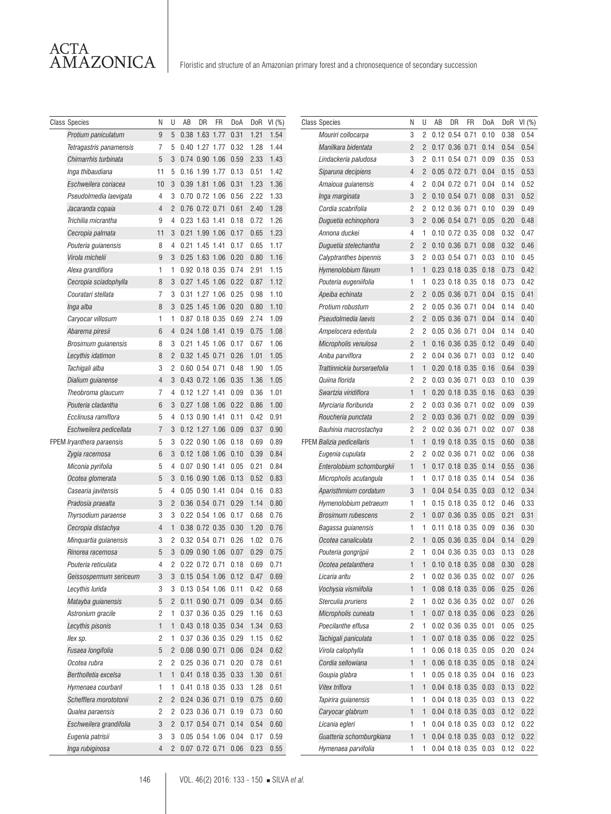| <b>Class Species</b>      | N  | U            | AB                          | DR | <b>FR</b>           | DoA                             |      | DoR VI (%)  | <b>Class Species</b>             | N              | U                     | AB                   | DR                   | FR                          | DoA  | DoR                             | VI $(%)$    |
|---------------------------|----|--------------|-----------------------------|----|---------------------|---------------------------------|------|-------------|----------------------------------|----------------|-----------------------|----------------------|----------------------|-----------------------------|------|---------------------------------|-------------|
| Protium paniculatum       | 9  | 5            |                             |    | 0.38 1.63 1.77      | 0.31                            | 1.21 | 1.54        | Mouriri collocarpa               | 3              | 2                     |                      | 0.12 0.54 0.71       |                             | 0.10 | 0.38                            | 0.54        |
| Tetragastris panamensis   | 7  | 5            |                             |    | 0.40 1.27 1.77 0.32 |                                 | 1.28 | 1.44        | Manilkara bidentata              | $\overline{2}$ | 2                     |                      | 0.17 0.36 0.71       |                             | 0.14 | 0.54                            | 0.54        |
| Chimarrhis turbinata      | 5  | 3            |                             |    | 0.74 0.90 1.06 0.59 |                                 | 2.33 | 1.43        | Lindackeria paludosa             | 3              | 2                     |                      | $0.11$ 0.54 0.71     |                             | 0.09 | 0.35                            | 0.53        |
| Inga thibaudiana          | 11 | 5            |                             |    | 0.16 1.99 1.77 0.13 |                                 | 0.51 | 1.42        | Siparuna decipiens               | 4              | 2                     |                      | 0.05 0.72 0.71       |                             | 0.04 | 0.15                            | 0.53        |
| Eschweilera coriacea      | 10 | 3            |                             |    | 0.39 1.81 1.06 0.31 |                                 | 1.23 | 1.36        | Amaioua guianensis               | 4              | 2                     |                      | 0.04 0.72 0.71       |                             | 0.04 | 0.14                            | 0.52        |
| Pseudolmedia laevigata    | 4  | 3            |                             |    | 0.70 0.72 1.06 0.56 |                                 | 2.22 | 1.33        | Inga marginata                   | 3              | $\mathbf{2}^{\prime}$ | $0.10$ $0.54$ $0.71$ |                      |                             | 0.08 | 0.31                            | 0.52        |
| Jacaranda copaia          | 4  | 2            | 0.76 0.72 0.71 0.61         |    |                     |                                 | 2.40 | 1.28        | Cordia scabrifolia               | $\overline{c}$ | 2                     |                      | 0.12 0.36 0.71       |                             | 0.10 | 0.39                            | 0.49        |
| Trichilia micrantha       | 9  | 4            | 0.23 1.63 1.41 0.18         |    |                     |                                 | 0.72 | 1.26        | Duguetia echinophora             | 3              | $\overline{c}$        |                      | 0.06 0.54 0.71       |                             | 0.05 | 0.20                            | 0.48        |
| Cecropia palmata          | 11 | 3            | 0.21 1.99 1.06 0.17         |    |                     |                                 | 0.65 | 1.23        | Annona duckei                    | 4              | 1                     |                      | $0.10$ $0.72$ $0.35$ |                             | 0.08 | 0.32                            | 0.47        |
| Pouteria guianensis       | 8  | 4            |                             |    | 0.21 1.45 1.41 0.17 |                                 | 0.65 | 1.17        | Duguetia stelechantha            | $\overline{c}$ | $\overline{2}$        |                      | $0.10$ $0.36$ $0.71$ |                             | 0.08 | 0.32                            | 0.46        |
| Virola michelii           | 9  | 3            | 0.25 1.63 1.06 0.20         |    |                     |                                 | 0.80 | 1.16        | Calyptranthes bipennis           | 3              | 2                     |                      | 0.03 0.54 0.71       |                             | 0.03 | 0.10                            | 0.45        |
| Alexa grandiflora         | 1. | 1.           |                             |    | 0.92 0.18 0.35 0.74 |                                 | 2.91 | 1.15        | Hymenolobium flavum              | 1              |                       |                      |                      | 0.23 0.18 0.35 0.18         |      | 0.73                            | 0.42        |
| Cecropia sciadophylla     | 8  | 3            |                             |    | 0.27 1.45 1.06 0.22 |                                 | 0.87 | 1.12        | Pouteria eugeniifolia            | 1              | 1                     |                      |                      | 0.23 0.18 0.35 0.18         |      | 0.73                            | 0.42        |
| Couratari stellata        | 7  | 3            |                             |    | 0.31 1.27 1.06 0.25 |                                 | 0.98 | 1.10        | Apeiba echinata                  | $\overline{2}$ | $\overline{2}$        |                      | 0.05 0.36 0.71       |                             | 0.04 | 0.15                            | 0.41        |
| Inga alba                 | 8  | 3            | 0.25 1.45 1.06 0.20         |    |                     |                                 | 0.80 | 1.10        | Protium robustum                 | $\overline{2}$ | 2                     |                      | 0.05 0.36 0.71       |                             | 0.04 | 0.14                            | 0.40        |
| Caryocar villosum         | 1. | 1.           |                             |    | 0.87 0.18 0.35 0.69 |                                 | 2.74 | 1.09        | Pseudolmedia laevis              | $\overline{2}$ | $\mathbf{2}$          |                      | 0.05 0.36 0.71       |                             | 0.04 | 0.14                            | 0.40        |
| Abarema piresii           | 6  | 4            | 0.24 1.08 1.41 0.19         |    |                     |                                 | 0.75 | 1.08        | Ampelocera edentula              | $\overline{2}$ | 2                     |                      | 0.05 0.36 0.71       |                             | 0.04 | 0.14                            | 0.40        |
| Brosimum guianensis       | 8  | 3            |                             |    | 0.21 1.45 1.06 0.17 |                                 | 0.67 | 1.06        | Micropholis venulosa             | $\overline{2}$ | 1                     |                      |                      | 0.16 0.36 0.35 0.12         |      | 0.49                            | 0.40        |
| Lecythis idatimon         | 8  | $\mathbf{2}$ | 0.32 1.45 0.71 0.26         |    |                     |                                 | 1.01 | 1.05        | Aniba parviflora                 | $\overline{2}$ | 2                     |                      | 0.04 0.36 0.71       |                             | 0.03 | 0.12                            | 0.40        |
| Tachigali alba            | 3  | 2            | 0.60 0.54 0.71 0.48         |    |                     |                                 | 1.90 | 1.05        | Trattinnickia burseraefolia      | 1              | 1                     |                      |                      | $0.20$ 0.18 0.35 0.16       |      | 0.64                            | 0.39        |
| Dialium guianense         | 4  | 3            | 0.43 0.72 1.06 0.35         |    |                     |                                 | 1.36 | 1.05        | Quiina florida                   | 2              | 2                     |                      | 0.03 0.36 0.71       |                             | 0.03 | 0.10                            | 0.39        |
| Theobroma glaucum         | 7  | 4            | 0.12 1.27 1.41 0.09         |    |                     |                                 | 0.36 | 1.01        | Swartzia viridiflora             | $\mathbf{1}$   | 1                     |                      |                      | $0.20$ $0.18$ $0.35$ $0.16$ |      | 0.63                            | 0.39        |
| Pouteria cladantha        | 6  | 3            | 0.27 1.08 1.06 0.22         |    |                     |                                 | 0.86 | 1.00        | Myrciaria floribunda             | 2              | 2                     |                      | 0.03 0.36 0.71       |                             | 0.02 | 0.09                            | 0.39        |
| Ecclinusa ramiflora       | 5  | 4            | 0.13 0.90 1.41 0.11         |    |                     |                                 | 0.42 | 0.91        | Roucheria punctata               | $\overline{2}$ | $\mathbf{2}$          | 0.03 0.36 0.71       |                      |                             | 0.02 | 0.09                            | 0.39        |
| Eschweilera pedicellata   | 7  | 3            | 0.12 1.27 1.06 0.09         |    |                     |                                 | 0.37 | 0.90        | Bauhinia macrostachya            | 2              | 2                     |                      | 0.02 0.36 0.71       |                             | 0.02 | 0.07                            | 0.38        |
| FPEM Iryanthera paraensis | 5  | 3            |                             |    | 0.22 0.90 1.06 0.18 |                                 | 0.69 | 0.89        | <b>FPEM Balizia pedicellaris</b> | 1              | 1                     |                      |                      | $0.19$ $0.18$ $0.35$ $0.15$ |      | 0.60                            | 0.38        |
| Zygia racemosa            | 6  | 3            | 0.12 1.08 1.06 0.10         |    |                     |                                 | 0.39 | 0.84        | Eugenia cupulata                 | 2              | 2                     |                      | 0.02 0.36 0.71       |                             | 0.02 | 0.06                            | 0.38        |
| Miconia pyrifolia         | 5  | 4            | 0.07 0.90 1.41 0.05         |    |                     |                                 | 0.21 | 0.84        | Enterolobium schomburgkii        | 1              |                       |                      |                      | 0.17 0.18 0.35 0.14         |      | 0.55                            | 0.36        |
| Ocotea glomerata          | 5  | 3            | $0.16$ $0.90$ $1.06$ $0.13$ |    |                     |                                 | 0.52 | 0.83        | Micropholis acutangula           | 1              |                       |                      |                      | 0.17 0.18 0.35 0.14         |      | 0.54                            | 0.36        |
| Casearia javitensis       | 5  | 4            | 0.05 0.90 1.41 0.04         |    |                     |                                 | 0.16 | 0.83        | Aparisthmium cordatum            | 3              |                       |                      |                      | $0.04$ 0.54 0.35 0.03       |      | 0.12                            | 0.34        |
| Pradosia praealta         | 3  | $\mathbf{2}$ | 0.36 0.54 0.71 0.29         |    |                     |                                 | 1.14 | 0.80        | Hymenolobium petraeum            | 1              |                       |                      |                      | 0.15 0.18 0.35 0.12         |      | 0.46                            | 0.33        |
| Thyrsodium paraense       | 3  | 3            |                             |    | 0.22 0.54 1.06 0.17 |                                 | 0.68 | 0.76        | <b>Brosimum rubescens</b>        | $\overline{2}$ |                       |                      |                      | 0.07 0.36 0.35 0.05         |      | 0.21                            | 0.31        |
| Cecropia distachya        | 4  | 1            |                             |    | 0.38 0.72 0.35 0.30 |                                 | 1.20 | 0.76        | Bagassa guianensis               | 1              |                       |                      | $0.11$ 0.18 0.35     |                             | 0.09 | 0.36                            | 0.30        |
| Minguartia guianensis     | 3  | 2            |                             |    | 0.32 0.54 0.71 0.26 |                                 | 1.02 | 0.76        | Ocotea canaliculata              | 2              |                       |                      |                      | 0.05 0.36 0.35 0.04         |      | 0.14                            | 0.29        |
| Rinorea racemosa          | 5  | 3            |                             |    | 0.09 0.90 1.06 0.07 |                                 | 0.29 | 0.75        | Pouteria gongrijpii              | 2              |                       |                      | 0.04 0.36 0.35       |                             | 0.03 | 0.13                            | 0.28        |
| Pouteria reticulata       | 4  | 2            | 0.22 0.72 0.71 0.18         |    |                     |                                 | 0.69 | 0.71        | Ocotea petalanthera              | 1              | 1                     |                      |                      | $0.10$ $0.18$ $0.35$ $0.08$ |      | 0.30                            | 0.28        |
| Geissospermum sericeum    | 3  |              |                             |    |                     | 3 0.15 0.54 1.06 0.12 0.47 0.69 |      |             | Licaria aritu                    | 2              |                       |                      |                      |                             |      | 1 0.02 0.36 0.35 0.02 0.07 0.26 |             |
| Lecythis Iurida           | 3  |              | 3 0.13 0.54 1.06 0.11       |    |                     |                                 | 0.42 | 0.68        | Vochysia vismiifolia             | 1              | 1                     |                      |                      | 0.08 0.18 0.35 0.06         |      | 0.25                            | 0.26        |
| Matayba guianensis        | 5  |              | 2 0.11 0.90 0.71 0.09       |    |                     |                                 | 0.34 | 0.65        | Sterculia pruriens               | 2              | 1.                    |                      |                      | 0.02 0.36 0.35 0.02         |      | 0.07                            | 0.26        |
| Astronium gracile         | 2  |              | 1 0.37 0.36 0.35 0.29       |    |                     |                                 | 1.16 | 0.63        | Micropholis cuneata              | 1              |                       |                      |                      | 1 0.07 0.18 0.35 0.06       |      | 0.23                            | 0.26        |
| Lecythis pisonis          | 1. |              | 1 0.43 0.18 0.35 0.34       |    |                     |                                 | 1.34 | 0.63        | Poecilanthe effusa               | 2              | 1.                    |                      |                      | 0.02 0.36 0.35 0.01         |      | 0.05                            | 0.25        |
| llex sp.                  | 2  |              | 1 0.37 0.36 0.35 0.29       |    |                     |                                 |      | $1.15$ 0.62 | Tachigali paniculata             | 1              | $\mathbf{1}$          |                      |                      | 0.07 0.18 0.35 0.06         |      | 0.22                            | 0.25        |
| Fusaea longifolia         | 5  |              | 2 0.08 0.90 0.71 0.06       |    |                     |                                 | 0.24 | 0.62        | Virola calophylla                | 1              | 1.                    |                      |                      | 0.06 0.18 0.35 0.05         |      | 0.20                            | 0.24        |
| Ocotea rubra              | 2  |              | 2 0.25 0.36 0.71 0.20       |    |                     |                                 | 0.78 | 0.61        | Cordia sellowiana                | 1.             | $\mathbf{1}$          |                      |                      | 0.06 0.18 0.35 0.05         |      | 0.18                            | 0.24        |
| Bertholletia excelsa      | 1. |              | 1 0.41 0.18 0.35 0.33       |    |                     |                                 | 1.30 | 0.61        | Goupia glabra                    | 1              | 1.                    |                      |                      | 0.05 0.18 0.35 0.04         |      | 0.16                            | 0.23        |
| Hymenaea courbaril        | 1. |              | 1 0.41 0.18 0.35 0.33       |    |                     |                                 | 1.28 | 0.61        | Vitex triflora                   | 1              | 1.                    |                      |                      | 0.04 0.18 0.35 0.03         |      | 0.13                            | 0.22        |
| Schefflera morototonii    | 2  |              |                             |    |                     | 2 0.24 0.36 0.71 0.19           | 0.75 | 0.60        | Tapirira guianensis              | 1              | 1.                    |                      |                      | 0.04 0.18 0.35 0.03         |      | 0.13                            | 0.22        |
| Qualea paraensis          | 2  |              | 2 0.23 0.36 0.71 0.19       |    |                     |                                 | 0.73 | 0.60        | Caryocar glabrum                 | 1              | $1 -$                 |                      |                      | 0.04 0.18 0.35 0.03         |      | 0.12                            | 0.22        |
| Eschweilera grandifolia   | 3  |              |                             |    |                     | 2 0.17 0.54 0.71 0.14           | 0.54 | 0.60        | Licania egleri                   | 1              | 1.                    |                      |                      | 0.04 0.18 0.35 0.03         |      | 0.12                            | 0.22        |
| Eugenia patrisii          | 3  |              | 3 0.05 0.54 1.06 0.04       |    |                     |                                 | 0.17 | 0.59        | Guatteria schomburgkiana         | 1              |                       |                      |                      | 0.04 0.18 0.35 0.03         |      | 0.12                            | 0.22        |
|                           | 4  |              |                             |    |                     | 2 0.07 0.72 0.71 0.06           | 0.23 | 0.55        |                                  | 1.             | 1.                    |                      |                      | 0.04 0.18 0.35 0.03         |      |                                 | $0.12$ 0.22 |
| Inga rubiginosa           |    |              |                             |    |                     |                                 |      |             | Hymenaea parvifolia              |                |                       |                      |                      |                             |      |                                 |             |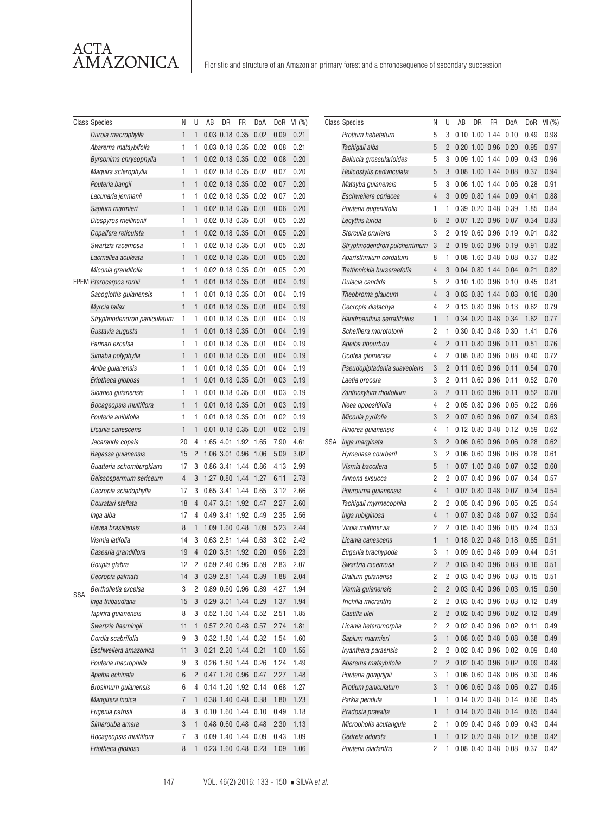

|     | <b>Class Species</b>                      | Ν              | U      | АΒ   | DR                   | FR                               | DoA          | DoR          | VI(%)                        |
|-----|-------------------------------------------|----------------|--------|------|----------------------|----------------------------------|--------------|--------------|------------------------------|
|     | Duroia macrophylla                        | 1              | 1      |      | 0.03 0.18 0.35       |                                  | 0.02         | 0.09         | 0.21                         |
|     | Abarema mataybifolia                      | 1              | 1      |      | 0.03 0.18 0.35       |                                  | 0.02         | 0.08         | 0.21                         |
|     | Byrsonima chrysophylla                    | $\mathbf{1}$   | 1      |      | 0.02 0.18 0.35       |                                  | 0.02         | 0.08         | 0.20                         |
|     | Maquira sclerophylla                      | 1              | 1      |      |                      | 0.02 0.18 0.35                   | 0.02         | 0.07         | 0.20                         |
|     | Pouteria bangii                           | $\mathbf{1}$   | 1      |      | 0.02 0.18 0.35       |                                  | 0.02         | 0.07         | 0.20                         |
|     | Lacunaria jenmanii                        | 1              | 1      |      | 0.02 0.18 0.35       |                                  | 0.02         | 0.07         | 0.20                         |
|     | Sapium marmieri                           | $\mathbf{1}$   | 1      |      | 0.02 0.18 0.35       |                                  | 0.01         | 0.06         | 0.20                         |
|     | Diospyros mellinonii                      | 1              | 1      |      | 0.02 0.18 0.35       |                                  | 0.01         | 0.05         | 0.20                         |
|     | Copaifera reticulata                      | $\mathbf{1}$   | 1      |      | 0.02 0.18 0.35       |                                  | 0.01         | 0.05         | 0.20                         |
|     | Swartzia racemosa                         | 1              | 1      |      | 0.02 0.18 0.35       |                                  | 0.01         | 0.05         | 0.20                         |
|     | Lacmellea aculeata                        | $\mathbf{1}$   | 1      |      | 0.02 0.18 0.35       |                                  | 0.01         | 0.05         | 0.20                         |
|     | Miconia grandifolia                       | 1              | 1      |      | 0.02 0.18 0.35       |                                  | 0.01         | 0.05         | 0.20                         |
|     | <b>FPEM Pterocarpos rorhii</b>            | $\mathbf{1}$   | 1      |      | $0.01$ $0.18$ $0.35$ |                                  | 0.01         | 0.04         | 0.19                         |
|     | Sacoglottis guianensis                    | 1              | 1      | 0.01 |                      | $0.18$ $0.35$                    | 0.01         | 0.04         | 0.19                         |
|     | Myrcia fallax                             | $\mathbf{1}$   | 1      | 0.01 |                      | $0.18$ $0.35$                    | 0.01         | 0.04         | 0.19                         |
|     | Stryphnodendron paniculatum               | 1              | 1      | 0.01 |                      | $0.18$ $0.35$                    | 0.01         | 0.04         | 0.19                         |
|     | Gustavia augusta                          | $\mathbf{1}$   | 1      | 0.01 |                      | $0.18$ $0.35$                    | 0.01         | 0.04         | 0.19                         |
|     | Parinari excelsa                          | 1              | 1      |      | 0.01 0.18 0.35       |                                  | 0.01         | 0.04         | 0.19                         |
|     | Simaba polyphylla                         | $\mathbf{1}$   | 1      | 0.01 |                      | $0.18$ $0.35$                    | 0.01         | 0.04         | 0.19                         |
|     | Aniba guianensis                          | 1              | 1      |      | 0.01 0.18 0.35       |                                  | 0.01         | 0.04         | 0.19                         |
|     | Eriotheca globosa                         | $\mathbf{1}$   | 1      |      | 0.01 0.18 0.35       |                                  | 0.01         | 0.03         | 0.19                         |
|     | Sloanea guianensis                        | 1              | 1      |      | 0.01 0.18 0.35       |                                  | 0.01         | 0.03         | 0.19                         |
|     | Bocageopsis multiflora                    | $\mathbf{1}$   | 1      |      | 0.01 0.18 0.35       |                                  | 0.01         | 0.03         | 0.19                         |
|     | Pouteria anibifolia                       | 1              | 1      |      | 0.01 0.18 0.35       |                                  | 0.01         | 0.02         | 0.19                         |
|     | Licania canescens                         | $\mathbf{1}$   | 1      |      | $0.01$ 0.18 0.35     |                                  | 0.01         | 0.02         | 0.19                         |
|     | Jacaranda copaia                          | 20             | 4      |      | 1.65 4.01 1.92       |                                  | 1.65         | 7.90         | 4.61                         |
|     | Bagassa guianensis                        | 15             | 2      |      | 1.06 3.01 0.96       |                                  | 1.06         | 5.09         | 3.02                         |
|     | Guatteria schomburgkiana                  | 17             | 3      |      | 0.86 3.41 1.44       |                                  | 0.86         | 4.13         | 2.99                         |
|     | Geissospermum sericeum                    | $\overline{4}$ | 3      |      | 1.27 0.80 1.44       |                                  | 1.27         | 6.11         | 2.78                         |
|     | Cecropia sciadophylla                     | 17             | 3      |      | 0.65 3.41 1.44       |                                  | 0.65         | 3.12         | 2.66                         |
|     | Couratari stellata                        | 18             | 4      |      | 0.47 3.61            | 1.92                             | 0.47         | 2.27         | 2.60                         |
|     | Inga alba                                 | 17             | 4      |      | 0.49 3.41 1.92       |                                  | 0.49         | 2.35         | 2.56                         |
|     | Hevea brasiliensis                        | 8              | 1      |      | 1.09 1.60 0.48       |                                  | 1.09         | 5.23         | 2.44                         |
|     | Vismia latifolia                          | 14             | 3      |      | 0.63 2.81 1.44       |                                  | 0.63         | 3.02         | 2.42                         |
|     | Casearia grandiflora                      | 19             | 4      |      | 0.20 3.81 1.92       |                                  | 0.20         | 0.96         | 2.23                         |
|     | Goupia glabra                             | 12             | 2      |      | 0.59 2.40 0.96       |                                  | 0.59         | 2.83         | 2.07                         |
|     | Cecropia palmata                          | 14             | 3      |      | 0.39 2.81 1.44       |                                  | 0.39         | 1.88         | 2.04                         |
|     | Bertholletia excelsa                      | 3              | 2      |      |                      | 0.89 0.60 0.96                   | 0.89         | 4.27         | 1.94                         |
| SSA | Inga thibaudiana                          | 15             | 3      |      |                      | 0.29 3.01 1.44                   | 0.29         | 1.37         | 1.94                         |
|     | Tapirira guianensis                       | 8              | 3      |      |                      | 0.52 1.60 1.44                   | 0.52         | 2.51         | 1.85                         |
|     | Swartzia flaemingii                       | 11             | 1      |      |                      | 0.57 2.20 0.48                   | 0.57         | 2.74         | 1.81                         |
|     | Cordia scabrifolia                        | 9              | 3      |      |                      | 0.32 1.80 1.44                   | 0.32         | 1.54         | 1.60                         |
|     | Eschweilera amazonica                     | 11             | 3      |      |                      | 0.21 2.20 1.44                   | 0.21         | 1.00         | 1.55                         |
|     | Pouteria macrophilla                      | 9              | 3      |      |                      | 0.26 1.80 1.44                   | 0.26         | 1.24         | 1.49                         |
|     |                                           |                | 2      |      |                      | 0.47 1.20 0.96                   | 0.47         | 2.27         | 1.48                         |
|     | Apeiba echinata                           | 6              |        |      |                      |                                  |              |              |                              |
|     |                                           |                | 4      |      |                      |                                  |              |              |                              |
|     | <b>Brosimum quianensis</b>                | 6              | 1      |      |                      | 0.14 1.20 1.92<br>0.38 1.40 0.48 | 0.14<br>0.38 | 0.68         | 1.27                         |
|     | Mangifera indica                          | 7              |        |      |                      |                                  |              | 1.80         |                              |
|     | Eugenia patrisii                          | 8              | 3      |      |                      | 0.10 1.60 1.44                   | 0.10         | 0.49         |                              |
|     | Simarouba amara<br>Bocageopsis multiflora | 3<br>7         | 1<br>3 |      |                      | 0.48 0.60 0.48<br>0.09 1.40 1.44 | 0.48<br>0.09 | 2.30<br>0.43 | 1.23<br>1.18<br>1.13<br>1.09 |

|     | <b>Class Species</b>         | Ν              | U              | АΒ   | DR             | FR             | DoA  | DoR  | VI(%) |
|-----|------------------------------|----------------|----------------|------|----------------|----------------|------|------|-------|
|     | Protium hebetatum            | 5              | 3              |      | 0.10 1.00 1.44 |                | 0.10 | 0.49 | 0.98  |
|     | Tachigali alba               | 5              | $\overline{2}$ |      | 0.20 1.00 0.96 |                | 0.20 | 0.95 | 0.97  |
|     | Bellucia grossularioides     | 5              | 3              |      | 0.09 1.00 1.44 |                | 0.09 | 0.43 | 0.96  |
|     | Helicostylis pedunculata     | 5              | 3              |      | 0.08 1.00 1.44 |                | 0.08 | 0.37 | 0.94  |
|     | Matayba guianensis           | 5              | 3              |      | 0.06 1.00 1.44 |                | 0.06 | 0.28 | 0.91  |
|     | Eschweilera coriacea         | $\overline{4}$ | 3              |      | 0.09 0.80 1.44 |                | 0.09 | 0.41 | 0.88  |
|     | Pouteria eugeniifolia        | 1              | 1              |      | 0.39 0.20 0.48 |                | 0.39 | 1.85 | 0.84  |
|     | Lecythis lurida              | 6              | $\overline{2}$ |      | 0.07 1.20 0.96 |                | 0.07 | 0.34 | 0.83  |
|     | Sterculia pruriens           | 3              | 2              |      | 0.19 0.60 0.96 |                | 0.19 | 0.91 | 0.82  |
|     | Stryphnodendron pulcherrimum | 3              | $\overline{2}$ |      | 0.19 0.60 0.96 |                | 0.19 | 0.91 | 0.82  |
|     | Aparisthmium cordatum        | 8              | 1              |      | 0.08 1.60 0.48 |                | 0.08 | 0.37 | 0.82  |
|     | Trattinnickia burseraefolia  | $\overline{4}$ | 3              |      | 0.04 0.80 1.44 |                | 0.04 | 0.21 | 0.82  |
|     | Dulacia candida              | 5              | 2              |      | 0.10 1.00 0.96 |                | 0.10 | 0.45 | 0.81  |
|     | Theobroma glaucum            | $\overline{4}$ | 3              |      | 0.03 0.80 1.44 |                | 0.03 | 0.16 | 0.80  |
|     | Cecropia distachya           | 4              | 2              |      | 0.13 0.80 0.96 |                | 0.13 | 0.62 | 0.79  |
|     | Handroanthus serratifolius   | $\mathbf{1}$   | 1              |      | 0.34 0.20 0.48 |                | 0.34 | 1.62 | 0.77  |
|     | Schefflera morototonii       | $\overline{2}$ | 1              |      | 0.30 0.40 0.48 |                | 0.30 | 1.41 | 0.76  |
|     | Apeiba tibourbou             | $\overline{4}$ | $\overline{2}$ |      | 0.11 0.80 0.96 |                | 0.11 | 0.51 | 0.76  |
|     | Ocotea glomerata             | $\overline{4}$ | 2              |      | 0.08 0.80 0.96 |                | 0.08 | 0.40 | 0.72  |
|     | Pseudopiptadenia suaveolens  | 3              | 2              |      | 0.11 0.60 0.96 |                | 0.11 | 0.54 | 0.70  |
|     | Laetia procera               | 3              | 2              |      | 0.11 0.60 0.96 |                | 0.11 | 0.52 | 0.70  |
|     | Zanthoxylum rhoifolium       | 3              | $\overline{2}$ | 0.11 |                | $0.60$ $0.96$  | 0.11 | 0.52 | 0.70  |
|     | Neea oppositifolia           | 4              | 2              |      | 0.05 0.80 0.96 |                | 0.05 | 0.22 | 0.66  |
|     | Miconia pyrifolia            | 3              | $\overline{2}$ |      | 0.07 0.60 0.96 |                | 0.07 | 0.34 | 0.63  |
|     | Rinorea guianensis           | 4              | 1              |      | 0.12 0.80 0.48 |                | 0.12 | 0.59 | 0.62  |
| SSA | Inga marginata               | 3              | $\overline{2}$ |      | 0.06 0.60 0.96 |                | 0.06 | 0.28 | 0.62  |
|     | Hymenaea courbaril           | 3              | 2              |      | 0.06 0.60 0.96 |                | 0.06 | 0.28 | 0.61  |
|     | Vismia baccifera             | 5              | 1              |      | 0.07 1.00 0.48 |                | 0.07 | 0.32 | 0.60  |
|     | Annona exsucca               | $\overline{c}$ | 2              |      | 0.07 0.40 0.96 |                | 0.07 | 0.34 | 0.57  |
|     | Pourouma guianensis          | $\overline{4}$ | 1              |      | 0.07 0.80 0.48 |                | 0.07 | 0.34 | 0.54  |
|     | Tachigali myrmecophila       | 2              | 2              |      | 0.05 0.40 0.96 |                | 0.05 | 0.25 | 0.54  |
|     | Inga rubiginosa              | $\overline{4}$ | 1              |      | 0.07 0.80 0.48 |                | 0.07 | 0.32 | 0.54  |
|     | Virola multinervia           | 2              | 2              |      | 0.05 0.40 0.96 |                | 0.05 | 0.24 | 0.53  |
|     | Licania canescens            | $\mathbf{1}$   | 1              |      | 0.18 0.20 0.48 |                | 0.18 | 0.85 | 0.51  |
|     | Eugenia brachypoda           | 3              | 1              |      | 0.09 0.60 0.48 |                | 0.09 | 0.44 | 0.51  |
|     | Swartzia racemosa            | $\overline{2}$ | $\overline{2}$ |      | 0.03 0.40 0.96 |                | 0.03 | 0.16 | 0.51  |
|     | Dialium guianense            | 2              | 2              |      | 0.03 0.40 0.96 |                | 0.03 | 0.15 | 0.51  |
|     | Vismia guianensis            | $\overline{c}$ | 2              |      |                | 0.03 0.40 0.96 | 0.03 | 0.15 | 0.50  |
|     | Trichilia micrantha          | $\overline{c}$ | 2              |      |                | 0.03 0.40 0.96 | 0.03 | 0.12 | 0.49  |
|     | Castilla ulei                | $\overline{c}$ | $\overline{c}$ |      |                | 0.02 0.40 0.96 | 0.02 | 0.12 | 0.49  |
|     | Licania heteromorpha         | 2              | 2              |      |                | 0.02 0.40 0.96 | 0.02 | 0.11 | 0.49  |
|     | Sapium marmieri              | 3              | 1              |      |                | 0.08 0.60 0.48 | 0.08 | 0.38 | 0.49  |
|     | Irvanthera paraensis         | 2              | 2              |      |                | 0.02 0.40 0.96 | 0.02 | 0.09 | 0.48  |
|     | Abarema mataybifolia         | $\overline{c}$ | 2              |      |                | 0.02 0.40 0.96 | 0.02 | 0.09 | 0.48  |
|     | Pouteria gongrijpii          | 3              | 1              |      |                | 0.06 0.60 0.48 | 0.06 | 0.30 | 0.46  |
|     | Protium paniculatum          | 3              | 1              |      |                | 0.06 0.60 0.48 | 0.06 | 0.27 | 0.45  |
|     | Parkia pendula               | 1              | 1              |      |                | 0.14 0.20 0.48 | 0.14 | 0.66 | 0.45  |
|     | Pradosia praealta            | 1              | 1              |      |                | 0.14 0.20 0.48 | 0.14 | 0.65 | 0.44  |
|     | Micropholis acutangula       | $\overline{c}$ | 1              |      |                | 0.09 0.40 0.48 | 0.09 | 0.43 | 0.44  |
|     | Cedrela odorata              | 1              | 1              |      | 0.12 0.20 0.48 |                | 0.12 | 0.58 | 0.42  |
|     |                              | 2              | 1              |      |                | 0.08 0.40 0.48 |      |      |       |
|     | Pouteria cladantha           |                |                |      |                |                | 0.08 | 0.37 | 0.42  |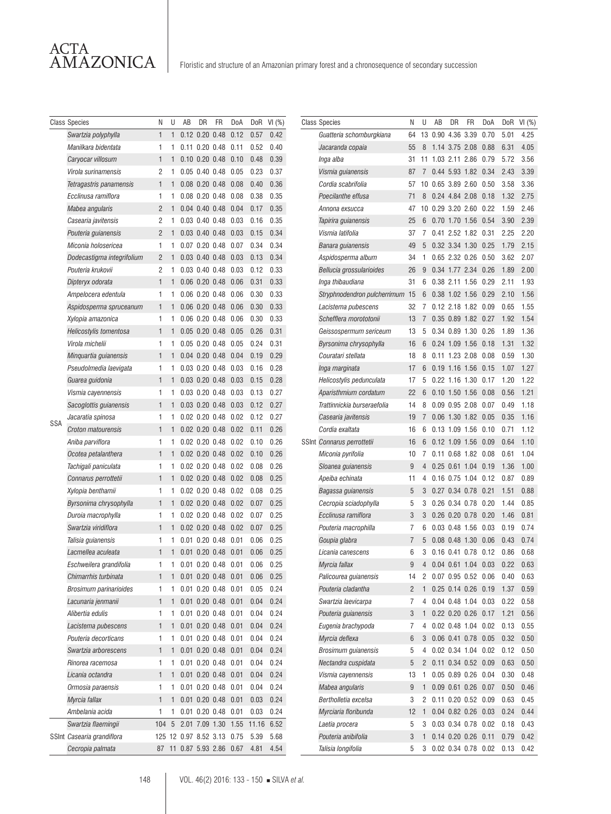|     | <b>Class Species</b>       | N              | U            | AB | DR | FR                          | DoA                            |              | DoR VI (%)                           | <b>Class Species</b>            | N              | U | AB                | DR                   | FR                     | DoA                      |      | DoR VI (%) |
|-----|----------------------------|----------------|--------------|----|----|-----------------------------|--------------------------------|--------------|--------------------------------------|---------------------------------|----------------|---|-------------------|----------------------|------------------------|--------------------------|------|------------|
|     | Swartzia polyphylla        | $\mathbf{1}$   | $\mathbf{1}$ |    |    | $0.12$ $0.20$ $0.48$        | 0.12                           | 0.57         | 0.42                                 | Guatteria schomburgkiana        | 64             |   | 13 0.90 4.36 3.39 |                      |                        | 0.70                     | 5.01 | 4.25       |
|     | Manilkara bidentata        | 1.             | 1            |    |    | 0.11 0.20 0.48 0.11         |                                | 0.52         | 0.40                                 | Jacaranda copaia                | 55             | 8 | 1.14 3.75 2.08    |                      |                        | 0.88                     | 6.31 | 4.05       |
|     | Caryocar villosum          | 1              | 1            |    |    | $0.10$ $0.20$ $0.48$ $0.10$ |                                | 0.48         | 0.39                                 | Inga alba                       | 31             |   | 11 1.03 2.11 2.86 |                      |                        | 0.79                     | 5.72 | 3.56       |
|     | Virola surinamensis        | 2              | 1            |    |    | 0.05 0.40 0.48 0.05         |                                | 0.23         | 0.37                                 | Vismia guianensis               | 87             | 7 |                   |                      | 0.44 5.93 1.82 0.34    |                          | 2.43 | 3.39       |
|     | Tetragastris panamensis    | 1.             | 1            |    |    | $0.08$ 0.20 0.48 0.08       |                                | 0.40         | 0.36                                 | Cordia scabrifolia              | 57             |   | 10 0.65 3.89 2.60 |                      |                        | 0.50                     | 3.58 | 3.36       |
|     | Ecclinusa ramiflora        | 1.             | 1            |    |    | 0.08 0.20 0.48 0.08         |                                | 0.38         | 0.35                                 | Poecilanthe effusa              | 71             | 8 | 0.24 4.84 2.08    |                      |                        | 0.18                     | 1.32 | 2.75       |
|     | Mabea angularis            | 2              | 1            |    |    | $0.04$ 0.40 0.48 0.04       |                                | 0.17         | 0.35                                 | Annona exsucca                  | 47             |   |                   |                      | 10 0.29 3.20 2.60 0.22 |                          | 1.59 | 2.46       |
|     | Casearia javitensis        | 2              | 1            |    |    | 0.03 0.40 0.48 0.03         |                                | 0.16         | 0.35                                 | Tapirira guianensis             | 25             | 6 |                   |                      | 0.70 1.70 1.56 0.54    |                          | 3.90 | 2.39       |
|     | Pouteria guianensis        | $\overline{2}$ | 1            |    |    | $0.03$ 0.40 0.48 0.03       |                                | 0.15         | 0.34                                 | Vismia latifolia                | 37             | 7 |                   |                      | 0.41 2.52 1.82 0.31    |                          | 2.25 | 2.20       |
|     | Miconia holosericea        | 1.             | 1            |    |    | 0.07 0.20 0.48 0.07         |                                | 0.34         | 0.34                                 | Banara guianensis               | 49             | 5 |                   |                      | 0.32 3.34 1.30 0.25    |                          | 1.79 | 2.15       |
|     | Dodecastigma integrifolium | 2              | 4            |    |    | $0.03$ 0.40 0.48 0.03       |                                | 0.13         | 0.34                                 | Aspidosperma album              | 34             | 1 |                   |                      | 0.65 2.32 0.26 0.50    |                          | 3.62 | 2.07       |
|     | Pouteria krukovii          | 2              | 1            |    |    | 0.03 0.40 0.48 0.03         |                                | 0.12         | 0.33                                 | Bellucia grossularioides        | 26             | 9 |                   |                      | 0.34 1.77 2.34 0.26    |                          | 1.89 | 2.00       |
|     | Dipteryx odorata           | 1.             | 1            |    |    | $0.06$ $0.20$ $0.48$ $0.06$ |                                | 0.31         | 0.33                                 | Inga thibaudiana                | 31             | 6 |                   |                      | 0.38 2.11 1.56 0.29    |                          | 2.11 | 1.93       |
|     | Ampelocera edentula        | 1.             | 1            |    |    | 0.06 0.20 0.48 0.06         |                                | 0.30         | 0.33                                 | Stryphnodendron pulcherrimum 15 |                | 6 |                   |                      | 0.38 1.02 1.56 0.29    |                          | 2.10 | 1.56       |
|     | Aspidosperma spruceanum    | 1.             | 4            |    |    | $0.06$ $0.20$ $0.48$ $0.06$ |                                | 0.30         | 0.33                                 | Lacistema pubescens             | 32             | 7 |                   |                      | 0.12 2.18 1.82 0.09    |                          | 0.65 | 1.55       |
|     | Xylopia amazonica          | 1.             | 1            |    |    | 0.06 0.20 0.48 0.06         |                                | 0.30         | 0.33                                 | Schefflera morototonii          | 13             | 7 |                   |                      | 0.35 0.89 1.82 0.27    |                          | 1.92 | 1.54       |
|     | Helicostylis tomentosa     | 1              | 1            |    |    | $0.05$ 0.20 0.48 0.05       |                                | 0.26         | 0.31                                 | Geissospermum sericeum          | 13             | 5 |                   |                      | 0.34 0.89 1.30 0.26    |                          | 1.89 | 1.36       |
|     | Virola michelii            | 1.             | 1            |    |    | 0.05 0.20 0.48 0.05         |                                | 0.24         | 0.31                                 | Byrsonima chrysophylla          | 16             | 6 |                   |                      | 0.24 1.09 1.56 0.18    |                          | 1.31 | 1.32       |
|     | Minguartia guianensis      | 1              | 1            |    |    | 0.04 0.20 0.48 0.04         |                                | 0.19         | 0.29                                 | Couratari stellata              | 18             | 8 |                   |                      | 0.11 1.23 2.08 0.08    |                          | 0.59 | 1.30       |
|     | Pseudolmedia laevigata     | 1.             |              |    |    | 0.03 0.20 0.48 0.03         |                                | 0.16         | 0.28                                 | Inga marginata                  | 17             | 6 |                   |                      | 0.19 1.16 1.56 0.15    |                          | 1.07 | 1.27       |
|     | Guarea guidonia            |                |              |    |    | 0.03 0.20 0.48 0.03         |                                | 0.15         | 0.28                                 | Helicostylis pedunculata        | 17             | 5 |                   |                      | 0.22 1.16 1.30 0.17    |                          | 1.20 | 1.22       |
|     | Vismia cayennensis         | 1.             |              |    |    | 0.03 0.20 0.48 0.03         |                                | 0.13         | 0.27                                 | Aparisthmium cordatum           | 22             | 6 |                   |                      | 0.10 1.50 1.56 0.08    |                          | 0.56 | 1.21       |
|     | Sacoglottis guianensis     |                |              |    |    | 0.03 0.20 0.48 0.03         |                                | 0.12         | 0.27                                 | Trattinnickia burseraefolia     | 14             | 8 |                   |                      | 0.09 0.95 2.08 0.07    |                          | 0.49 | 1.18       |
|     | Jacaratia spinosa          | 1              |              |    |    | 0.02 0.20 0.48 0.02         |                                | 0.12         | 0.27                                 | Casearia javitensis             | 19             | 7 |                   |                      | 0.06 1.30 1.82 0.05    |                          | 0.35 | 1.16       |
| SSA | Croton matourensis         |                |              |    |    | $0.02$ 0.20 0.48 0.02       |                                | 0.11         | 0.26                                 | Cordia exaltata                 | 16             | 6 |                   |                      | 0.13 1.09 1.56 0.10    |                          | 0.71 | 1.12       |
|     | Aniba parviflora           | 1              |              |    |    | 0.02 0.20 0.48 0.02         |                                | 0.10         | 0.26                                 | SSInt Connarus perrottetii      | 16             | 6 |                   |                      | 0.12 1.09 1.56 0.09    |                          | 0.64 | 1.10       |
|     | Ocotea petalanthera        |                |              |    |    | 0.02 0.20 0.48 0.02         |                                | 0.10         | 0.26                                 | Miconia pyrifolia               | 10             | 7 |                   |                      | 0.11 0.68 1.82 0.08    |                          | 0.61 | 1.04       |
|     | Tachigali paniculata       | 1.             |              |    |    | 0.02 0.20 0.48 0.02         |                                | 0.08         | 0.26                                 | Sloanea guianensis              | 9              | 4 |                   |                      | 0.25 0.61 1.04 0.19    |                          | 1.36 | 1.00       |
|     | Connarus perrottetii       |                |              |    |    | 0.02 0.20 0.48 0.02         |                                | 0.08         | 0.25                                 | Apeiba echinata                 | 11             | 4 |                   |                      | 0.16 0.75 1.04 0.12    |                          | 0.87 | 0.89       |
|     | Xylopia benthamii          | 1              |              |    |    | 0.02 0.20 0.48 0.02         |                                | 0.08         | 0.25                                 | Bagassa guianensis              | 5              | 3 | 0.27 0.34 0.78    |                      |                        | 0.21                     | 1.51 | 0.88       |
|     |                            |                |              |    |    | 0.02 0.20 0.48 0.02         |                                | 0.07         | 0.25                                 | Cecropia sciadophylla           | 5              | 3 |                   | 0.26 0.34 0.78       |                        | 0.20                     | 1.44 | 0.85       |
|     | Byrsonima chrysophylla     | 1.             |              |    |    | 0.02 0.20 0.48 0.02         |                                | 0.07         | 0.25                                 | Ecclinusa ramiflora             | 3              | 3 |                   | $0.26$ $0.20$ $0.78$ |                        | 0.20                     | 1.46 | 0.81       |
|     | Duroia macrophylla         |                |              |    |    | 0.02 0.20 0.48 0.02         |                                | 0.07         | 0.25                                 |                                 | 7              | 6 |                   | 0.03 0.48 1.56       |                        | 0.03                     | 0.19 | 0.74       |
|     | Swartzia viridiflora       |                |              |    |    | 0.01 0.20 0.48 0.01         |                                | 0.06         | 0.25                                 | Pouteria macrophilla            | 7              | 5 |                   | 0.08 0.48 1.30       |                        | 0.06                     | 0.43 | 0.74       |
|     | Talisia guianensis         | 1              |              |    |    | 0.01 0.20 0.48 0.01         |                                |              | 0.25                                 | Goupia glabra                   |                | 3 |                   |                      |                        |                          | 0.86 | 0.68       |
|     | Lacmellea aculeata         |                |              |    |    |                             |                                | 0.06<br>0.06 | 0.25                                 | Licania canescens               | 6<br>9         |   |                   | $0.16$ 0.41 0.78     | $0.04$ 0.61 1.04 0.03  | 0.12                     | 0.22 |            |
|     | Eschweilera grandifolia    | 1.             |              |    |    | $0.01$ $0.20$ $0.48$ $0.01$ |                                |              |                                      | Myrcia fallax                   |                | 4 |                   |                      |                        |                          |      | 0.63       |
|     | Chimarrhis turbinata       |                |              |    |    | 1 0.01 0.20 0.48 0.01       |                                | 0.06         | 0.25                                 | Palicourea guianensis           | 14             | 2 |                   |                      | 0.07 0.95 0.52 0.06    |                          | 0.40 | 0.63       |
|     | Brosimum parinarioides     |                | 1.           |    |    | $0.01$ $0.20$ $0.48$ $0.01$ |                                | 0.05         | 0.24                                 | Pouteria cladantha              | $\overline{2}$ |   |                   |                      | 0.25 0.14 0.26 0.19    |                          | 1.37 | 0.59       |
|     | Lacunaria jenmanii         |                | 1.           |    |    | $0.01$ $0.20$ $0.48$ $0.01$ |                                | 0.04         | 0.24                                 | Swartzia laevicarpa             | 7              | 4 |                   |                      |                        | $0.04$ 0.48 1.04 0.03    | 0.22 | 0.58       |
|     | Alibertia edulis           | 1.             |              |    |    | 1 0.01 0.20 0.48 0.01       |                                | 0.04         | 0.24                                 | Pouteria guianensis             | 3              |   |                   |                      |                        | 0.22 0.20 0.26 0.17 1.21 |      | 0.56       |
|     | Lacistema pubescens        |                |              |    |    | 1 0.01 0.20 0.48 0.01       |                                | 0.04         | 0.24                                 | Eugenia brachypoda              | 7              | 4 |                   |                      |                        | $0.02$ 0.48 1.04 0.02    | 0.13 | 0.55       |
|     | Pouteria decorticans       | 1.             |              |    |    | 1 0.01 0.20 0.48 0.01       |                                | 0.04         | 0.24                                 | Myrcia deflexa                  | 6              | 3 |                   |                      | 0.06 0.41 0.78 0.05    |                          | 0.32 | 0.50       |
|     | Swartzia arborescens       |                |              |    |    | 1 0.01 0.20 0.48 0.01       |                                | 0.04         | 0.24                                 | Brosimum guianensis             | 5              | 4 |                   |                      | 0.02 0.34 1.04 0.02    |                          | 0.12 | 0.50       |
|     | Rinorea racemosa           | 1.             | 1.           |    |    | $0.01$ $0.20$ $0.48$ $0.01$ |                                | 0.04         | 0.24                                 | Nectandra cuspidata             | 5              |   |                   |                      | 2 0.11 0.34 0.52 0.09  |                          | 0.63 | 0.50       |
|     | Licania octandra           |                |              |    |    | 1 0.01 0.20 0.48 0.01       |                                | 0.04         | 0.24                                 | Vismia cayennensis              | 13             | 1 |                   |                      | 0.05 0.89 0.26 0.04    |                          | 0.30 | 0.48       |
|     | Ormosia paraensis          | 1.             |              |    |    | 1 0.01 0.20 0.48 0.01       |                                | 0.04         | 0.24                                 | Mabea angularis                 | 9              | 1 |                   |                      | 0.09 0.61 0.26 0.07    |                          | 0.50 | 0.46       |
|     | Myrcia fallax              |                | 1            |    |    | $0.01$ $0.20$ $0.48$ $0.01$ |                                | 0.03         | 0.24                                 | Bertholletia excelsa            | 3              | 2 |                   |                      | 0.11 0.20 0.52 0.09    |                          | 0.63 | 0.45       |
|     | Ambelania acida            | 1.             | 1.           |    |    | 0.01 0.20 0.48 0.01         |                                | 0.03         | 0.24                                 | Myrciaria floribunda            | 12             | 1 |                   |                      | 0.04 0.82 0.26 0.03    |                          | 0.24 | 0.44       |
|     | Swartzia flaemingii        |                |              |    |    |                             |                                |              | 104 5 2.01 7.09 1.30 1.55 11.16 6.52 | Laetia procera                  | 5              | 3 |                   |                      | 0.03 0.34 0.78 0.02    |                          | 0.18 | 0.43       |
|     | SSInt Casearia grandiflora |                |              |    |    | 125 12 0.97 8.52 3.13 0.75  |                                | 5.39         | 5.68                                 | Pouteria anibifolia             | 3              | 1 |                   |                      | 0.14 0.20 0.26 0.11    |                          | 0.79 | 0.42       |
|     | Cecropia palmata           |                |              |    |    |                             | 87 11 0.87 5.93 2.86 0.67 4.81 |              | 4.54                                 | Talisia longifolia              | 5              |   |                   |                      | 3 0.02 0.34 0.78 0.02  |                          | 0.13 | 0.42       |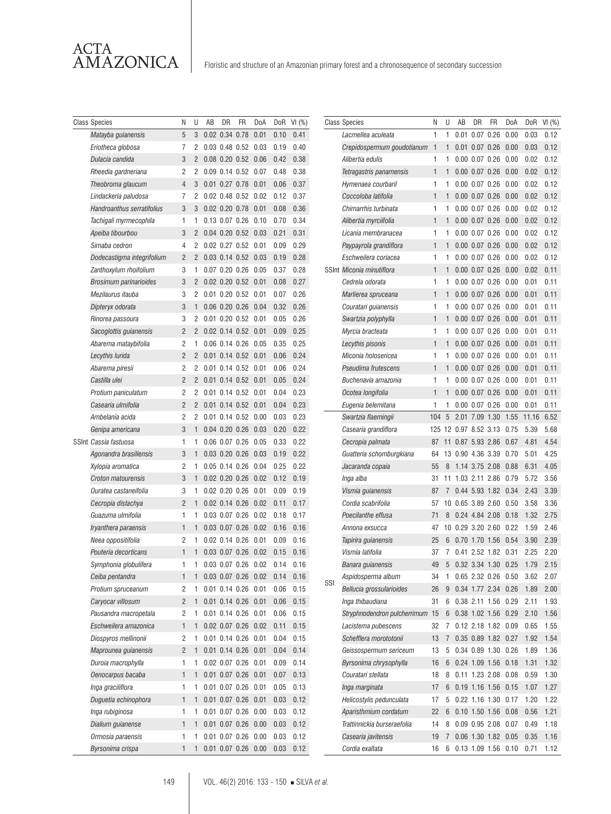| <b>Class Species</b>       | Ν              | U              | AB | DR             | FR               | DoA  | DoR  | VI(%) |
|----------------------------|----------------|----------------|----|----------------|------------------|------|------|-------|
| Matayba guianensis         | 5              | 3              |    |                | 0.02 0.34 0.78   | 0.01 | 0.10 | 0.41  |
| Eriotheca globosa          | 7              | 2              |    |                | 0.03 0.48 0.52   | 0.03 | 0.19 | 0.40  |
| Dulacia candida            | 3              | $\overline{2}$ |    |                | $0.08$ 0.20 0.52 | 0.06 | 0.42 | 0.38  |
| Rheedia gardneriana        | 2              | 2              |    |                | $0.09$ 0.14 0.52 | 0.07 | 0.48 | 0.38  |
| Theobroma glaucum          | $\overline{4}$ | 3              |    | 0.01 0.27 0.78 |                  | 0.01 | 0.06 | 0.37  |
| Lindackeria paludosa       | 7              | 2              |    |                | 0.02 0.48 0.52   | 0.02 | 0.12 | 0.37  |
| Handroanthus serratifolius | 3              | 3              |    | 0.02 0.20 0.78 |                  | 0.01 | 0.08 | 0.36  |
| Tachigali myrmecophila     | 1              | 1              |    | 0.13 0.07 0.26 |                  | 0.10 | 0.70 | 0.34  |
| Apeiba tibourbou           | 3              | $\overline{2}$ |    | 0.04 0.20 0.52 |                  | 0.03 | 0.21 | 0.31  |
| Simaba cedron              | 4              | 2              |    | 0.02 0.27 0.52 |                  | 0.01 | 0.09 | 0.29  |
| Dodecastigma integrifolium | $\overline{2}$ | $\overline{2}$ |    | 0.03 0.14 0.52 |                  | 0.03 | 0.19 | 0.28  |
| Zanthoxylum rhoifolium     | 3              | 1              |    | 0.07 0.20 0.26 |                  | 0.05 | 0.37 | 0.28  |
| Brosimum parinarioides     | 3              | $\overline{2}$ |    | 0.02 0.20 0.52 |                  | 0.01 | 0.08 | 0.27  |
| Mezilaurus itauba          | 3              | 2              |    | 0.01 0.20 0.52 |                  | 0.01 | 0.07 | 0.26  |
| Dipteryx odorata           | 3              | 1              |    | 0.06 0.20 0.26 |                  | 0.04 | 0.32 | 0.26  |
| Rinorea passoura           | 3              | 2              |    | 0.01 0.20 0.52 |                  | 0.01 | 0.05 | 0.26  |
| Sacoglottis guianensis     | $\overline{2}$ | $\overline{2}$ |    | 0.02 0.14 0.52 |                  | 0.01 | 0.09 | 0.25  |
| Abarema mataybifolia       | 2              | 1              |    |                | 0.06 0.14 0.26   | 0.05 | 0.35 | 0.25  |
| Lecythis lurida            | $\overline{2}$ | $\overline{2}$ |    |                | $0.01$ 0.14 0.52 | 0.01 | 0.06 | 0.24  |
| Abarema piresii            | 2              | 2              |    |                | 0.01 0.14 0.52   | 0.01 | 0.06 | 0.24  |
| Castilla ulei              | $\overline{2}$ | $\overline{2}$ |    | 0.01 0.14 0.52 |                  | 0.01 | 0.05 | 0.24  |
| Protium paniculatum        | 2              | 2              |    | 0.01 0.14 0.52 |                  | 0.01 | 0.04 | 0.23  |
| Casearia ulmifolia         | $\overline{2}$ | $\overline{2}$ |    | 0.01 0.14 0.52 |                  | 0.01 | 0.04 | 0.23  |
| Ambelania acida            | 2              | 2              |    | 0.01 0.14 0.52 |                  | 0.00 | 0.03 | 0.23  |
| Genipa americana           | 3              | 1              |    | 0.04 0.20 0.26 |                  | 0.03 | 0.20 | 0.22  |
| SSInt Cassia fastuosa      | 1              | 1              |    | 0.06 0.07 0.26 |                  | 0.05 | 0.33 | 0.22  |
| Agonandra brasiliensis     | 3              | 1              |    | 0.03 0.20 0.26 |                  | 0.03 | 0.19 | 0.22  |
| Xylopia aromatica          | 2              | 1              |    | 0.05 0.14 0.26 |                  | 0.04 | 0.25 | 0.22  |
| Croton matourensis         | 3              | 1              |    | 0.02 0.20 0.26 |                  | 0.02 | 0.12 | 0.19  |
| Ouratea castaneifolia      | 3              | 1              |    | 0.02 0.20 0.26 |                  | 0.01 | 0.09 | 0.19  |
| Cecropia distachya         | $\overline{2}$ | 1              |    | 0.02 0.14 0.26 |                  | 0.02 | 0.11 | 0.17  |
| Guazuma ulmifolia          | 1              | 1              |    | 0.03 0.07 0.26 |                  | 0.02 | 0.18 | 0.17  |
| Iryanthera paraensis       | 1              | 1              |    | 0.03 0.07 0.26 |                  | 0.02 | 0.16 | 0.16  |
| Neea oppositifolia         | 2              | 1              |    | 0.02 0.14 0.26 |                  | 0.01 | 0.09 | 0.16  |
| Pouteria decorticans       | 1              | 1              |    | 0.03 0.07 0.26 |                  | 0.02 | 0.15 | 0.16  |
| Symphonia globulifera      | 1              | 1              |    |                | 0.03 0.07 0.26   | 0.02 | 0.14 | 0.16  |
| Ceiba pentandra            | 1              | $\mathbf{1}$   |    |                | 0.03 0.07 0.26   | 0.02 | 0.14 | 0.16  |
| Protium spruceanum         | $\overline{c}$ | 1              |    |                | 0.01 0.14 0.26   | 0.01 | 0.06 | 0.15  |
| Caryocar villosum          | $\overline{2}$ | 1              |    |                | 0.01 0.14 0.26   | 0.01 | 0.06 | 0.15  |
| Pausandra macropetala      | 2              | 1              |    |                | $0.01$ 0.14 0.26 | 0.01 | 0.06 | 0.15  |
| Eschweilera amazonica      | 1              | 1              |    |                | 0.02 0.07 0.26   | 0.02 | 0.11 | 0.15  |
| Diospyros mellinonii       | 2              | 1              |    |                | 0.01 0.14 0.26   | 0.01 | 0.04 | 0.15  |
| Maprounea guianensis       | $\overline{2}$ | 1              |    |                | 0.01 0.14 0.26   | 0.01 | 0.04 | 0.14  |
| Duroia macrophylla         | 1              | 1              |    |                | 0.02 0.07 0.26   | 0.01 | 0.09 | 0.14  |
| Oenocarpus bacaba          | 1              | 1              |    |                | 0.01 0.07 0.26   | 0.01 | 0.07 | 0.13  |
| Inga graciliflora          | 1              | 1              |    |                | 0.01 0.07 0.26   | 0.01 | 0.05 | 0.13  |
| Duguetia echinophora       | 1              | 1              |    |                | $0.01$ 0.07 0.26 | 0.01 | 0.03 | 0.12  |
| Inga rubiginosa            | 1              | 1              |    |                | 0.01 0.07 0.26   | 0.00 | 0.03 | 0.12  |
| Dialium guianense          | 1              | 1              |    |                | 0.01 0.07 0.26   | 0.00 | 0.03 | 0.12  |
| Ormosia paraensis          | 1              | 1              |    |                | 0.01 0.07 0.26   | 0.00 | 0.03 | 0.12  |
| Byrsonima crispa           | 1              | 1              |    | 0.01 0.07 0.26 |                  | 0.00 | 0.03 | 0.12  |
|                            |                |                |    |                |                  |      |      |       |

|     | <b>Class Species</b>         | Ν            | U            | AB   | DR                   | FR                   | DoA  | DoR   | VI $(%)$ |
|-----|------------------------------|--------------|--------------|------|----------------------|----------------------|------|-------|----------|
|     | Lacmellea aculeata           | 1            | 1            |      | 0.01 0.07 0.26       |                      | 0.00 | 0.03  | 0.12     |
|     | Crepidospermum goudotianum   | $\mathbf{1}$ | $\mathbf{1}$ |      | 0.01 0.07 0.26       |                      | 0.00 | 0.03  | 0.12     |
|     | Alibertia edulis             | 1            | 1            |      | 0.00 0.07 0.26       |                      | 0.00 | 0.02  | 0.12     |
|     | Tetragastris panamensis      | 1            | $\mathbf{1}$ |      | $0.00$ $0.07$ $0.26$ |                      | 0.00 | 0.02  | 0.12     |
|     | Hymenaea courbaril           | 1            | 1            |      | 0.00 0.07 0.26       |                      | 0.00 | 0.02  | 0.12     |
|     | Coccoloba latifolia          | 1            | 1            |      | $0.00$ $0.07$ $0.26$ |                      | 0.00 | 0.02  | 0.12     |
|     | Chimarrhis turbinata         | 1            | 1            |      | 0.00 0.07 0.26       |                      | 0.00 | 0.02  | 0.12     |
|     | Alibertia myrciifolia        | 1            | $\mathbf{1}$ |      | $0.00$ $0.07$ $0.26$ |                      | 0.00 | 0.02  | 0.12     |
|     | Licania membranacea          | 1            | 1            |      | 0.00 0.07 0.26       |                      | 0.00 | 0.02  | 0.12     |
|     | Paypayrola grandiflora       | 1            | 1            |      | 0.00 0.07 0.26       |                      | 0.00 | 0.02  | 0.12     |
|     | Eschweilera coriacea         | 1            | 1            |      | 0.00 0.07 0.26       |                      | 0.00 | 0.02  | 0.12     |
|     | SSInt Miconia minutiflora    | 1            | 1            |      | $0.00$ $0.07$ $0.26$ |                      | 0.00 | 0.02  | 0.11     |
|     | Cedrela odorata              | 1            | 1            |      | 0.00 0.07 0.26       |                      | 0.00 | 0.01  | 0.11     |
|     | Marlierea spruceana          | 1            | 1            |      | $0.00$ $0.07$ $0.26$ |                      | 0.00 | 0.01  | 0.11     |
|     | Couratari guianensis         | 1            | 1            |      | 0.00 0.07 0.26       |                      | 0.00 | 0.01  | 0.11     |
|     | Swartzia polyphylla          | 1            | 1            |      | $0.00$ $0.07$ $0.26$ |                      | 0.00 | 0.01  | 0.11     |
|     | Myrcia bracteata             | 1            | 1            |      | 0.00 0.07 0.26       |                      | 0.00 | 0.01  | 0.11     |
|     | Lecythis pisonis             | 1            | $\mathbf{1}$ |      | $0.00$ $0.07$ $0.26$ |                      | 0.00 | 0.01  | 0.11     |
|     | Miconia holosericea          | 1            | 1            |      | 0.00 0.07 0.26       |                      | 0.00 | 0.01  | 0.11     |
|     | Pseudima frutescens          | $\mathbf{1}$ | $\mathbf{1}$ |      |                      | $0.00$ $0.07$ $0.26$ | 0.00 | 0.01  | 0.11     |
|     | Buchenavia amazonia          | 1            | 1            |      | 0.00 0.07 0.26       |                      | 0.00 | 0.01  | 0.11     |
|     | Ocotea longifolia            | $\mathbf{1}$ | $\mathbf{1}$ |      | $0.00$ $0.07$ $0.26$ |                      | 0.00 | 0.01  | 0.11     |
|     | Eugenia belemitana           | 1            | 1            |      | 0.00 0.07 0.26       |                      | 0.00 | 0.01  | 0.11     |
|     | Swartzia flaemingii          | 104          | 5            |      | 2.01 7.09 1.30       |                      | 1.55 | 11.16 | 6.52     |
|     | Casearia grandiflora         | 125          | 12           |      | 0.97 8.52 3.13       |                      | 0.75 | 5.39  | 5.68     |
|     | Cecropia palmata             | 87           | 11           |      | 0.87 5.93 2.86       |                      | 0.67 | 4.81  | 4.54     |
|     | Guatteria schomburgkiana     | 64           | 13           |      | 0.90 4.36 3.39       |                      | 0.70 | 5.01  | 4.25     |
|     | Jacaranda copaia             | 55           | 8            |      | 1.14 3.75 2.08       |                      | 0.88 | 6.31  | 4.05     |
|     | Inga alba                    | 31           | 11           |      | 1.03 2.11 2.86       |                      | 0.79 | 5.72  | 3.56     |
|     | Vismia guianensis            | 87           | 7            |      | 0.44 5.93 1.82       |                      | 0.34 | 2.43  | 3.39     |
|     | Cordia scabrifolia           | 57           | 10           |      | 0.65 3.89 2.60       |                      | 0.50 | 3.58  | 3.36     |
|     | Poecilanthe effusa           | 71           | 8            |      | 0.24 4.84 2.08       |                      | 0.18 | 1.32  | 2.75     |
|     | Annona exsucca               | 47           | 10           |      | 0.29 3.20 2.60       |                      | 0.22 | 1.59  | 2.46     |
|     | Tapirira guianensis          | 25           | 6            |      | 0.70 1.70 1.56       |                      | 0.54 | 3.90  | 2.39     |
|     | Vismia latifolia             | 37           | 7            | 0.41 |                      | 2.52 1.82            | 0.31 | 2.25  | 2.20     |
|     | Banara guianensis            | 49           | 5            |      | 0.32 3.34 1.30       |                      | 0.25 | 1.79  | 2.15     |
| SSI | Aspidosperma album           | 34           | 1            |      | 0.65 2.32 0.26       |                      | 0.50 | 3.62  | 2.07     |
|     | Bellucia grossularioides     | 26           | 9            |      |                      | 0.34 1.77 2.34       | 0.26 | 1.89  | 2.00     |
|     | Inga thibaudiana             | 31           | 6            |      |                      | 0.38 2.11 1.56       | 0.29 | 2.11  | 1.93     |
|     | Stryphnodendron pulcherrimum | 15           | 6            |      |                      | 0.38 1.02 1.56       | 0.29 | 2.10  | 1.56     |
|     | Lacistema pubescens          | 32           | 7            |      |                      | 0.12 2.18 1.82       | 0.09 | 0.65  | 1.55     |
|     | Schefflera morototonii       | 13           | 7            |      |                      | 0.35 0.89 1.82       | 0.27 | 1.92  | 1.54     |
|     | Geissospermum sericeum       | 13           | 5            |      |                      | 0.34 0.89 1.30       | 0.26 | 1.89  | 1.36     |
|     | Byrsonima chrysophylla       | 16           | 6            |      |                      | 0.24 1.09 1.56       | 0.18 | 1.31  | 1.32     |
|     | Couratari stellata           | 18           | 8            |      |                      | 0.11 1.23 2.08       | 0.08 | 0.59  | 1.30     |
|     | Inga marginata               | 17           | 6            |      |                      | 0.19 1.16 1.56       | 0.15 | 1.07  | 1.27     |
|     | Helicostylis pedunculata     | 17           | 5            |      |                      | 0.22 1.16 1.30       | 0.17 | 1.20  | 1.22     |
|     | Aparisthmium cordatum        | 22           | 6            |      |                      | 0.10 1.50 1.56       | 0.08 | 0.56  | 1.21     |
|     | Trattinnickia burseraefolia  | 14           | 8            |      |                      | 0.09 0.95 2.08       | 0.07 | 0.49  | 1.18     |
|     | Casearia javitensis          | 19           | 7            |      |                      | 0.06 1.30 1.82       | 0.05 | 0.35  | 1.16     |
|     | Cordia exaltata              | 16           | 6            |      |                      | 0.13 1.09 1.56       | 0.10 | 0.71  | 1.12     |